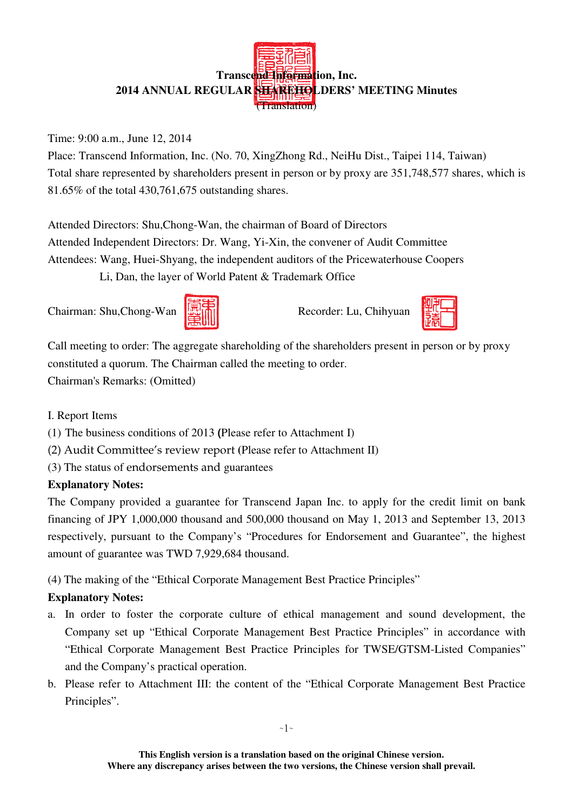# **Transcend Information, Inc. 2014 ANNUAL REGULAR SHAREHOLDERS' MEETING Minutes**  (Translation)

## Time: 9:00 a.m., June 12, 2014

Place: Transcend Information, Inc. (No. 70, XingZhong Rd., NeiHu Dist., Taipei 114, Taiwan) Total share represented by shareholders present in person or by proxy are 351,748,577 shares, which is 81.65% of the total 430,761,675 outstanding shares.

Attended Directors: Shu,Chong-Wan, the chairman of Board of Directors Attended Independent Directors: Dr. Wang, Yi-Xin, the convener of Audit Committee Attendees: Wang, Huei-Shyang, the independent auditors of the Pricewaterhouse Coopers Li, Dan, the layer of World Patent & Trademark Office

Chairman: Shu,Chong-Wan **Recorder: Lu, Chihyuan** 





Call meeting to order: The aggregate shareholding of the shareholders present in person or by proxy constituted a quorum. The Chairman called the meeting to order. Chairman's Remarks: (Omitted)

I. Report Items

- (1) The business conditions of 2013 **(**Please refer to Attachment I)
- (2) Audit Committee's review report **(**Please refer to Attachment II)
- (3) The status of endorsements and guarantees

# **Explanatory Notes:**

The Company provided a guarantee for Transcend Japan Inc. to apply for the credit limit on bank financing of JPY 1,000,000 thousand and 500,000 thousand on May 1, 2013 and September 13, 2013 respectively, pursuant to the Company's "Procedures for Endorsement and Guarantee", the highest amount of guarantee was TWD 7,929,684 thousand.

(4) The making of the "Ethical Corporate Management Best Practice Principles"

# **Explanatory Notes:**

- a. In order to foster the corporate culture of ethical management and sound development, the Company set up "Ethical Corporate Management Best Practice Principles" in accordance with "Ethical Corporate Management Best Practice Principles for TWSE/GTSM-Listed Companies" and the Company's practical operation.
- b. Please refer to Attachment III: the content of the "Ethical Corporate Management Best Practice Principles".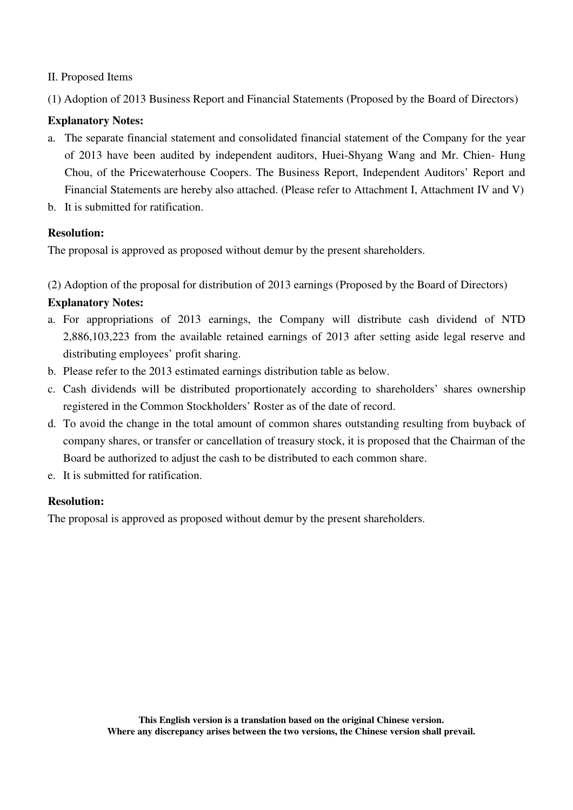#### II. Proposed Items

(1) Adoption of 2013 Business Report and Financial Statements (Proposed by the Board of Directors)

## **Explanatory Notes:**

- a. The separate financial statement and consolidated financial statement of the Company for the year of 2013 have been audited by independent auditors, Huei-Shyang Wang and Mr. Chien- Hung Chou, of the Pricewaterhouse Coopers. The Business Report, Independent Auditors' Report and Financial Statements are hereby also attached. (Please refer to Attachment I, Attachment IV and V)
- b. It is submitted for ratification.

## **Resolution:**

The proposal is approved as proposed without demur by the present shareholders.

(2) Adoption of the proposal for distribution of 2013 earnings (Proposed by the Board of Directors)

## **Explanatory Notes:**

- a. For appropriations of 2013 earnings, the Company will distribute cash dividend of NTD 2,886,103,223 from the available retained earnings of 2013 after setting aside legal reserve and distributing employees' profit sharing.
- b. Please refer to the 2013 estimated earnings distribution table as below.
- c. Cash dividends will be distributed proportionately according to shareholders' shares ownership registered in the Common Stockholders' Roster as of the date of record.
- d. To avoid the change in the total amount of common shares outstanding resulting from buyback of company shares, or transfer or cancellation of treasury stock, it is proposed that the Chairman of the Board be authorized to adjust the cash to be distributed to each common share.
- e. It is submitted for ratification.

## **Resolution:**

The proposal is approved as proposed without demur by the present shareholders.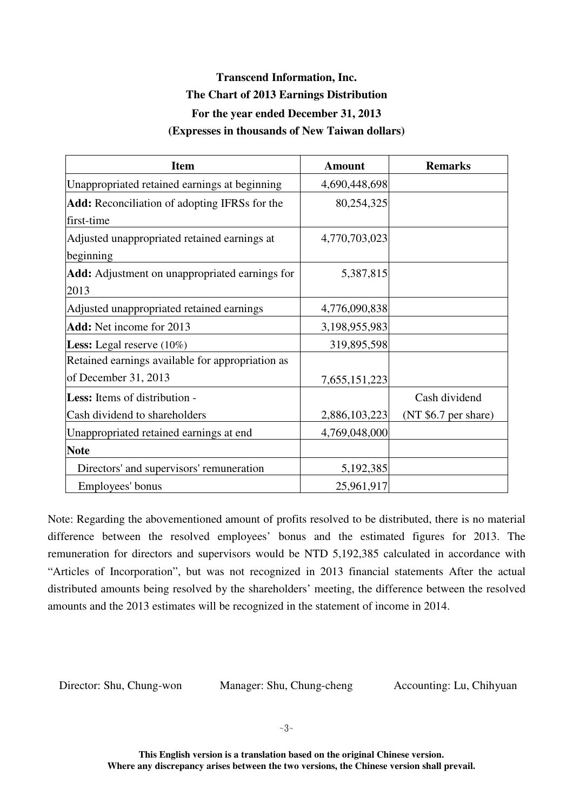# **Transcend Information, Inc. The Chart of 2013 Earnings Distribution For the year ended December 31, 2013 (Expresses in thousands of New Taiwan dollars)**

| <b>Item</b>                                          | <b>Amount</b> | <b>Remarks</b>       |
|------------------------------------------------------|---------------|----------------------|
| Unappropriated retained earnings at beginning        | 4,690,448,698 |                      |
| <b>Add:</b> Reconciliation of adopting IFRSs for the | 80,254,325    |                      |
| first-time                                           |               |                      |
| Adjusted unappropriated retained earnings at         | 4,770,703,023 |                      |
| beginning                                            |               |                      |
| Add: Adjustment on unappropriated earnings for       | 5,387,815     |                      |
| 2013                                                 |               |                      |
| Adjusted unappropriated retained earnings            | 4,776,090,838 |                      |
| <b>Add:</b> Net income for 2013                      | 3,198,955,983 |                      |
| <b>Less:</b> Legal reserve $(10\%)$                  | 319,895,598   |                      |
| Retained earnings available for appropriation as     |               |                      |
| of December 31, 2013                                 | 7,655,151,223 |                      |
| <b>Less:</b> Items of distribution -                 |               | Cash dividend        |
| Cash dividend to shareholders                        | 2,886,103,223 | (NT \$6.7 per share) |
| Unappropriated retained earnings at end              | 4,769,048,000 |                      |
| <b>Note</b>                                          |               |                      |
| Directors' and supervisors' remuneration             | 5,192,385     |                      |
| Employees' bonus                                     | 25,961,917    |                      |

Note: Regarding the abovementioned amount of profits resolved to be distributed, there is no material difference between the resolved employees' bonus and the estimated figures for 2013. The remuneration for directors and supervisors would be NTD 5,192,385 calculated in accordance with "Articles of Incorporation", but was not recognized in 2013 financial statements After the actual distributed amounts being resolved by the shareholders' meeting, the difference between the resolved amounts and the 2013 estimates will be recognized in the statement of income in 2014.

Director: Shu, Chung-won Manager: Shu, Chung-cheng Accounting: Lu, Chihyuan

**This English version is a translation based on the original Chinese version. Where any discrepancy arises between the two versions, the Chinese version shall prevail.**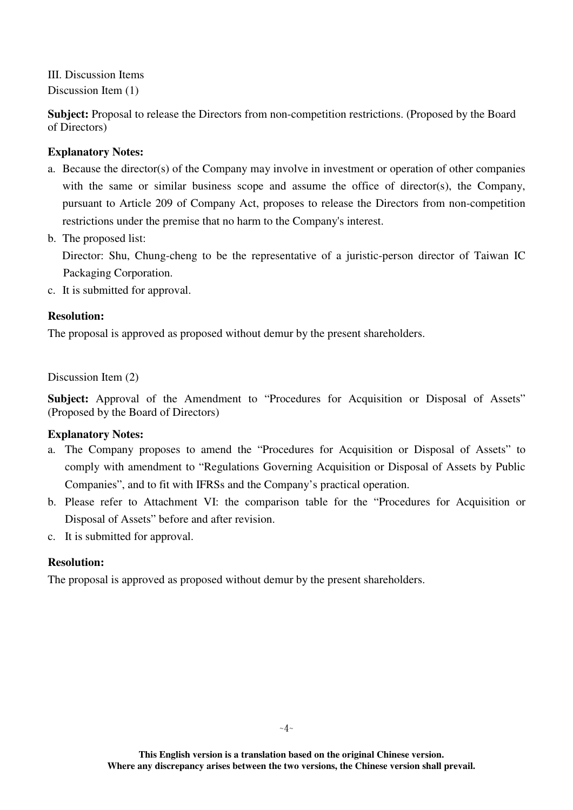III. Discussion Items Discussion Item (1)

**Subject:** Proposal to release the Directors from non-competition restrictions. (Proposed by the Board of Directors)

## **Explanatory Notes:**

- a. Because the director(s) of the Company may involve in investment or operation of other companies with the same or similar business scope and assume the office of director(s), the Company, pursuant to Article 209 of Company Act, proposes to release the Directors from non-competition restrictions under the premise that no harm to the Company's interest.
- b. The proposed list:

 Director: Shu, Chung-cheng to be the representative of a juristic-person director of Taiwan IC Packaging Corporation.

c. It is submitted for approval.

## **Resolution:**

The proposal is approved as proposed without demur by the present shareholders.

Discussion Item (2)

Subject: Approval of the Amendment to "Procedures for Acquisition or Disposal of Assets" (Proposed by the Board of Directors)

## **Explanatory Notes:**

- a. The Company proposes to amend the "Procedures for Acquisition or Disposal of Assets" to comply with amendment to "Regulations Governing Acquisition or Disposal of Assets by Public Companies", and to fit with IFRSs and the Company's practical operation.
- b. Please refer to Attachment VI: the comparison table for the "Procedures for Acquisition or Disposal of Assets" before and after revision.
- c. It is submitted for approval.

## **Resolution:**

The proposal is approved as proposed without demur by the present shareholders.

**This English version is a translation based on the original Chinese version. Where any discrepancy arises between the two versions, the Chinese version shall prevail.**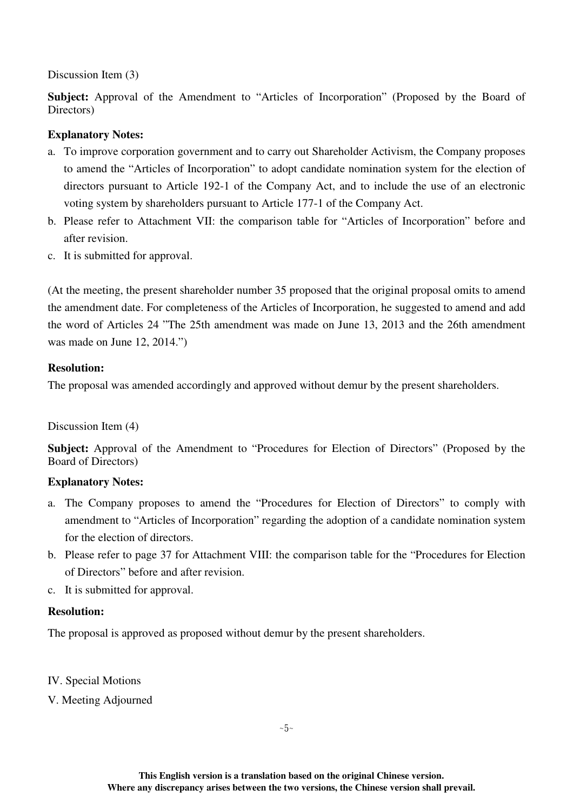Discussion Item (3)

**Subject:** Approval of the Amendment to "Articles of Incorporation" (Proposed by the Board of Directors)

## **Explanatory Notes:**

- a. To improve corporation government and to carry out Shareholder Activism, the Company proposes to amend the "Articles of Incorporation" to adopt candidate nomination system for the election of directors pursuant to Article 192-1 of the Company Act, and to include the use of an electronic voting system by shareholders pursuant to Article 177-1 of the Company Act.
- b. Please refer to Attachment VII: the comparison table for "Articles of Incorporation" before and after revision.
- c. It is submitted for approval.

(At the meeting, the present shareholder number 35 proposed that the original proposal omits to amend the amendment date. For completeness of the Articles of Incorporation, he suggested to amend and add the word of Articles 24 "The 25th amendment was made on June 13, 2013 and the 26th amendment was made on June 12, 2014.")

#### **Resolution:**

The proposal was amended accordingly and approved without demur by the present shareholders.

Discussion Item (4)

**Subject:** Approval of the Amendment to "Procedures for Election of Directors" (Proposed by the Board of Directors)

## **Explanatory Notes:**

- a. The Company proposes to amend the "Procedures for Election of Directors" to comply with amendment to "Articles of Incorporation" regarding the adoption of a candidate nomination system for the election of directors.
- b. Please refer to page 37 for Attachment VIII: the comparison table for the "Procedures for Election of Directors" before and after revision.
- c. It is submitted for approval.

#### **Resolution:**

The proposal is approved as proposed without demur by the present shareholders.

IV. Special Motions

V. Meeting Adjourned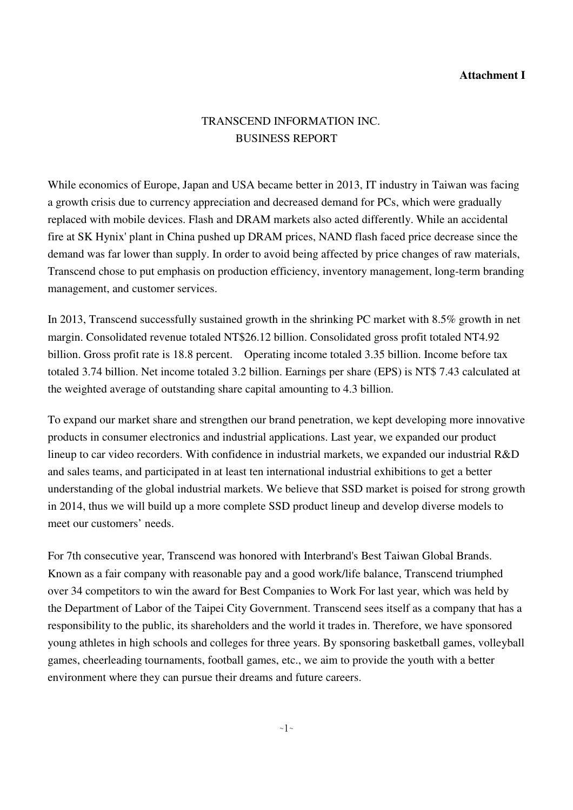#### **Attachment I**

# TRANSCEND INFORMATION INC. BUSINESS REPORT

While economics of Europe, Japan and USA became better in 2013, IT industry in Taiwan was facing a growth crisis due to currency appreciation and decreased demand for PCs, which were gradually replaced with mobile devices. Flash and DRAM markets also acted differently. While an accidental fire at SK Hynix' plant in China pushed up DRAM prices, NAND flash faced price decrease since the demand was far lower than supply. In order to avoid being affected by price changes of raw materials, Transcend chose to put emphasis on production efficiency, inventory management, long-term branding management, and customer services.

In 2013, Transcend successfully sustained growth in the shrinking PC market with 8.5% growth in net margin. Consolidated revenue totaled NT\$26.12 billion. Consolidated gross profit totaled NT4.92 billion. Gross profit rate is 18.8 percent. Operating income totaled 3.35 billion. Income before tax totaled 3.74 billion. Net income totaled 3.2 billion. Earnings per share (EPS) is NT\$ 7.43 calculated at the weighted average of outstanding share capital amounting to 4.3 billion.

To expand our market share and strengthen our brand penetration, we kept developing more innovative products in consumer electronics and industrial applications. Last year, we expanded our product lineup to car video recorders. With confidence in industrial markets, we expanded our industrial R&D and sales teams, and participated in at least ten international industrial exhibitions to get a better understanding of the global industrial markets. We believe that SSD market is poised for strong growth in 2014, thus we will build up a more complete SSD product lineup and develop diverse models to meet our customers' needs.

For 7th consecutive year, Transcend was honored with Interbrand's Best Taiwan Global Brands. Known as a fair company with reasonable pay and a good work/life balance, Transcend triumphed over 34 competitors to win the award for Best Companies to Work For last year, which was held by the Department of Labor of the Taipei City Government. Transcend sees itself as a company that has a responsibility to the public, its shareholders and the world it trades in. Therefore, we have sponsored young athletes in high schools and colleges for three years. By sponsoring basketball games, volleyball games, cheerleading tournaments, football games, etc., we aim to provide the youth with a better environment where they can pursue their dreams and future careers.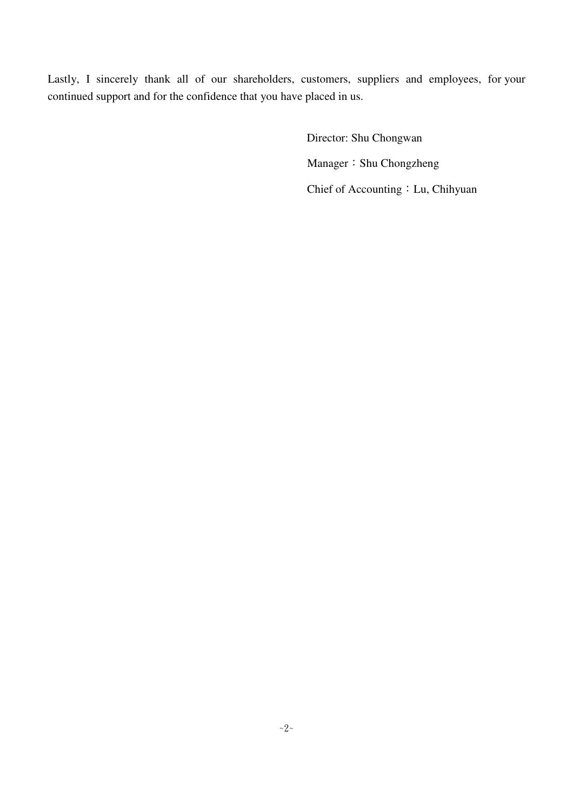Lastly, I sincerely thank all of our shareholders, customers, suppliers and employees, for your continued support and for the confidence that you have placed in us.

> Director: Shu Chongwan Manager: Shu Chongzheng Chief of Accounting: Lu, Chihyuan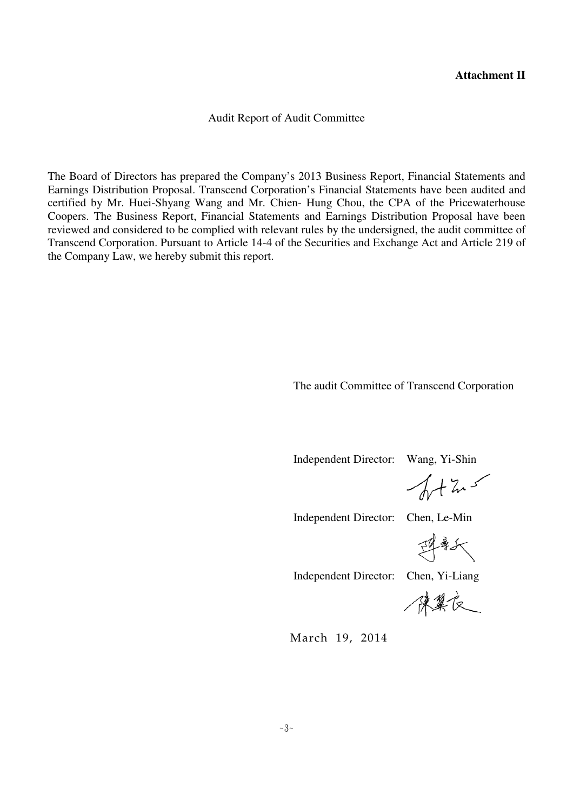#### **Attachment II**

Audit Report of Audit Committee

The Board of Directors has prepared the Company's 2013 Business Report, Financial Statements and Earnings Distribution Proposal. Transcend Corporation's Financial Statements have been audited and certified by Mr. Huei-Shyang Wang and Mr. Chien- Hung Chou, the CPA of the Pricewaterhouse Coopers. The Business Report, Financial Statements and Earnings Distribution Proposal have been reviewed and considered to be complied with relevant rules by the undersigned, the audit committee of Transcend Corporation. Pursuant to Article 14-4 of the Securities and Exchange Act and Article 219 of the Company Law, we hereby submit this report.

The audit Committee of Transcend Corporation

Independent Director: Wang, Yi-Shin

 $\sqrt{1+x^2}$ 

Independent Director: Chen, Le-Min

理新

Independent Director: Chen, Yi-Liang

陳異友

March 19, 2014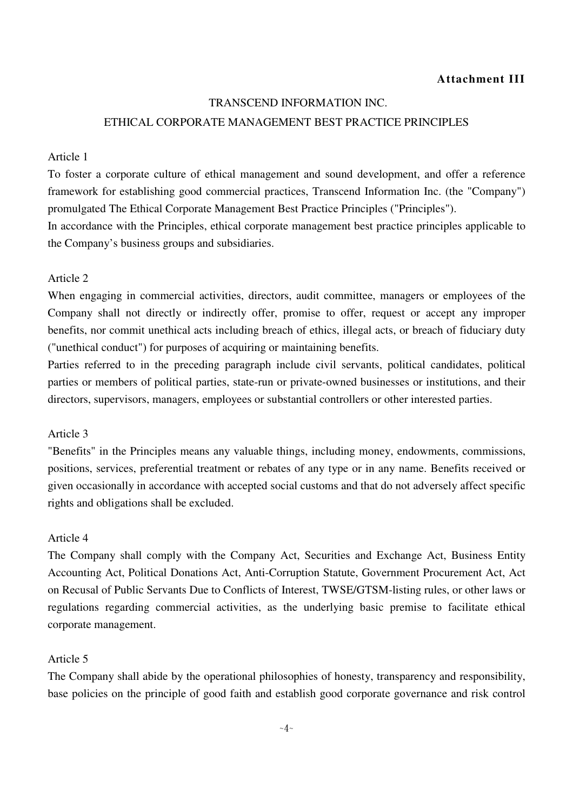#### **Attachment III**

#### TRANSCEND INFORMATION INC.

#### ETHICAL CORPORATE MANAGEMENT BEST PRACTICE PRINCIPLES

#### Article 1

To foster a corporate culture of ethical management and sound development, and offer a reference framework for establishing good commercial practices, Transcend Information Inc. (the "Company") promulgated The Ethical Corporate Management Best Practice Principles ("Principles").

In accordance with the Principles, ethical corporate management best practice principles applicable to the Company's business groups and subsidiaries.

#### Article 2

When engaging in commercial activities, directors, audit committee, managers or employees of the Company shall not directly or indirectly offer, promise to offer, request or accept any improper benefits, nor commit unethical acts including breach of ethics, illegal acts, or breach of fiduciary duty ("unethical conduct") for purposes of acquiring or maintaining benefits.

Parties referred to in the preceding paragraph include civil servants, political candidates, political parties or members of political parties, state-run or private-owned businesses or institutions, and their directors, supervisors, managers, employees or substantial controllers or other interested parties.

#### Article 3

"Benefits" in the Principles means any valuable things, including money, endowments, commissions, positions, services, preferential treatment or rebates of any type or in any name. Benefits received or given occasionally in accordance with accepted social customs and that do not adversely affect specific rights and obligations shall be excluded.

#### Article 4

The Company shall comply with the Company Act, Securities and Exchange Act, Business Entity Accounting Act, Political Donations Act, Anti-Corruption Statute, Government Procurement Act, Act on Recusal of Public Servants Due to Conflicts of Interest, TWSE/GTSM-listing rules, or other laws or regulations regarding commercial activities, as the underlying basic premise to facilitate ethical corporate management.

#### Article 5

The Company shall abide by the operational philosophies of honesty, transparency and responsibility, base policies on the principle of good faith and establish good corporate governance and risk control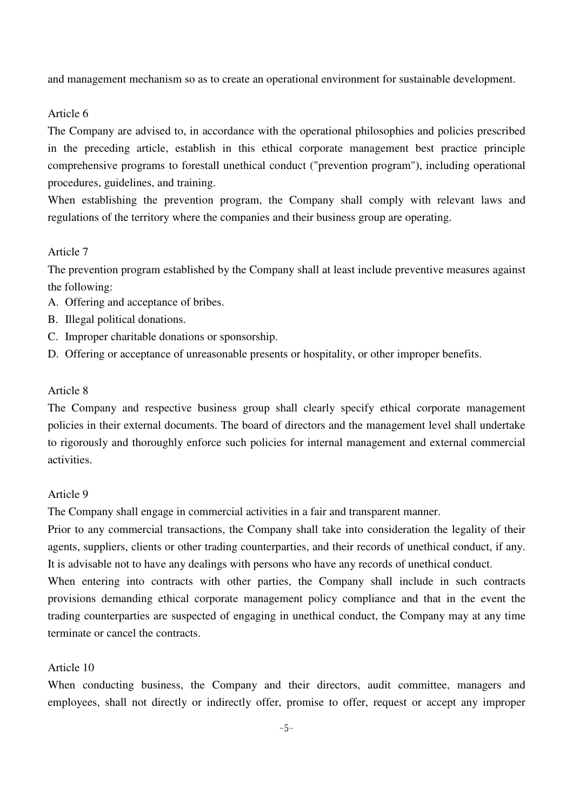and management mechanism so as to create an operational environment for sustainable development.

#### Article 6

The Company are advised to, in accordance with the operational philosophies and policies prescribed in the preceding article, establish in this ethical corporate management best practice principle comprehensive programs to forestall unethical conduct ("prevention program"), including operational procedures, guidelines, and training.

When establishing the prevention program, the Company shall comply with relevant laws and regulations of the territory where the companies and their business group are operating.

#### Article 7

The prevention program established by the Company shall at least include preventive measures against the following:

- A. Offering and acceptance of bribes.
- B. Illegal political donations.
- C. Improper charitable donations or sponsorship.
- D. Offering or acceptance of unreasonable presents or hospitality, or other improper benefits.

#### Article 8

The Company and respective business group shall clearly specify ethical corporate management policies in their external documents. The board of directors and the management level shall undertake to rigorously and thoroughly enforce such policies for internal management and external commercial activities.

#### Article 9

The Company shall engage in commercial activities in a fair and transparent manner.

Prior to any commercial transactions, the Company shall take into consideration the legality of their agents, suppliers, clients or other trading counterparties, and their records of unethical conduct, if any. It is advisable not to have any dealings with persons who have any records of unethical conduct.

When entering into contracts with other parties, the Company shall include in such contracts provisions demanding ethical corporate management policy compliance and that in the event the trading counterparties are suspected of engaging in unethical conduct, the Company may at any time terminate or cancel the contracts.

#### Article 10

When conducting business, the Company and their directors, audit committee, managers and employees, shall not directly or indirectly offer, promise to offer, request or accept any improper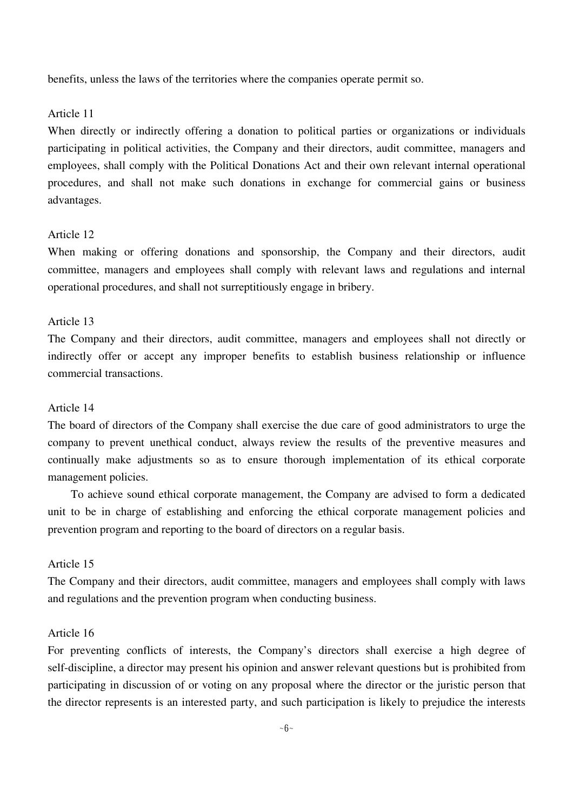benefits, unless the laws of the territories where the companies operate permit so.

#### Article 11

When directly or indirectly offering a donation to political parties or organizations or individuals participating in political activities, the Company and their directors, audit committee, managers and employees, shall comply with the Political Donations Act and their own relevant internal operational procedures, and shall not make such donations in exchange for commercial gains or business advantages.

#### Article 12

When making or offering donations and sponsorship, the Company and their directors, audit committee, managers and employees shall comply with relevant laws and regulations and internal operational procedures, and shall not surreptitiously engage in bribery.

#### Article 13

The Company and their directors, audit committee, managers and employees shall not directly or indirectly offer or accept any improper benefits to establish business relationship or influence commercial transactions.

#### Article 14

The board of directors of the Company shall exercise the due care of good administrators to urge the company to prevent unethical conduct, always review the results of the preventive measures and continually make adjustments so as to ensure thorough implementation of its ethical corporate management policies.

 To achieve sound ethical corporate management, the Company are advised to form a dedicated unit to be in charge of establishing and enforcing the ethical corporate management policies and prevention program and reporting to the board of directors on a regular basis.

#### Article 15

The Company and their directors, audit committee, managers and employees shall comply with laws and regulations and the prevention program when conducting business.

#### Article 16

For preventing conflicts of interests, the Company's directors shall exercise a high degree of self-discipline, a director may present his opinion and answer relevant questions but is prohibited from participating in discussion of or voting on any proposal where the director or the juristic person that the director represents is an interested party, and such participation is likely to prejudice the interests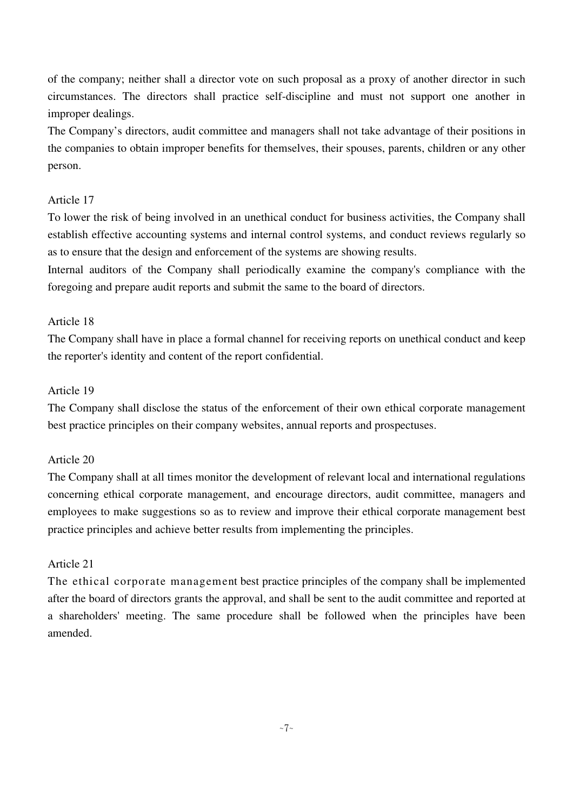of the company; neither shall a director vote on such proposal as a proxy of another director in such circumstances. The directors shall practice self-discipline and must not support one another in improper dealings.

The Company's directors, audit committee and managers shall not take advantage of their positions in the companies to obtain improper benefits for themselves, their spouses, parents, children or any other person.

## Article 17

To lower the risk of being involved in an unethical conduct for business activities, the Company shall establish effective accounting systems and internal control systems, and conduct reviews regularly so as to ensure that the design and enforcement of the systems are showing results.

Internal auditors of the Company shall periodically examine the company's compliance with the foregoing and prepare audit reports and submit the same to the board of directors.

#### Article 18

The Company shall have in place a formal channel for receiving reports on unethical conduct and keep the reporter's identity and content of the report confidential.

#### Article 19

The Company shall disclose the status of the enforcement of their own ethical corporate management best practice principles on their company websites, annual reports and prospectuses.

#### Article 20

The Company shall at all times monitor the development of relevant local and international regulations concerning ethical corporate management, and encourage directors, audit committee, managers and employees to make suggestions so as to review and improve their ethical corporate management best practice principles and achieve better results from implementing the principles.

#### Article 21

The ethical corporate management best practice principles of the company shall be implemented after the board of directors grants the approval, and shall be sent to the audit committee and reported at a shareholders' meeting. The same procedure shall be followed when the principles have been amended.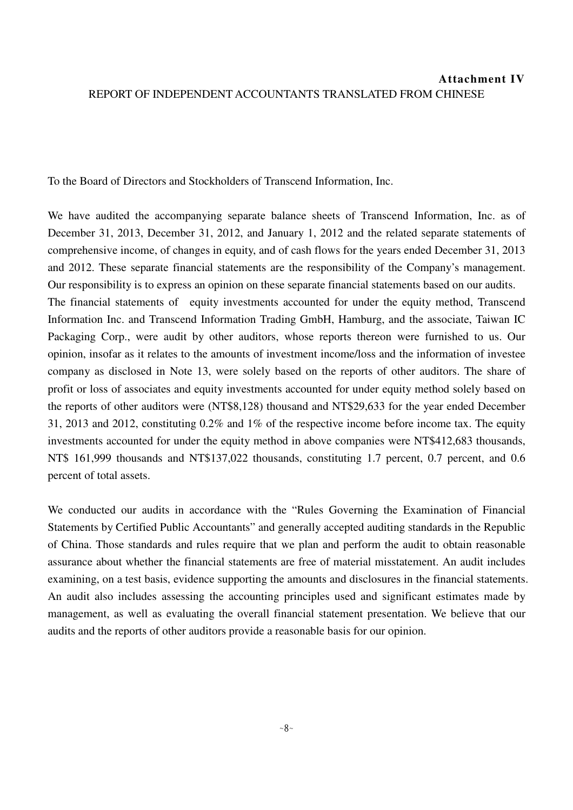# **Attachment IV** REPORT OF INDEPENDENT ACCOUNTANTS TRANSLATED FROM CHINESE

To the Board of Directors and Stockholders of Transcend Information, Inc.

We have audited the accompanying separate balance sheets of Transcend Information, Inc. as of December 31, 2013, December 31, 2012, and January 1, 2012 and the related separate statements of comprehensive income, of changes in equity, and of cash flows for the years ended December 31, 2013 and 2012. These separate financial statements are the responsibility of the Company's management. Our responsibility is to express an opinion on these separate financial statements based on our audits. The financial statements of equity investments accounted for under the equity method. Transcend Information Inc. and Transcend Information Trading GmbH, Hamburg, and the associate, Taiwan IC Packaging Corp., were audit by other auditors, whose reports thereon were furnished to us. Our opinion, insofar as it relates to the amounts of investment income/loss and the information of investee company as disclosed in Note 13, were solely based on the reports of other auditors. The share of profit or loss of associates and equity investments accounted for under equity method solely based on the reports of other auditors were (NT\$8,128) thousand and NT\$29,633 for the year ended December 31, 2013 and 2012, constituting 0.2% and 1% of the respective income before income tax. The equity investments accounted for under the equity method in above companies were NT\$412,683 thousands, NT\$ 161,999 thousands and NT\$137,022 thousands, constituting 1.7 percent, 0.7 percent, and 0.6 percent of total assets.

We conducted our audits in accordance with the "Rules Governing the Examination of Financial Statements by Certified Public Accountants" and generally accepted auditing standards in the Republic of China. Those standards and rules require that we plan and perform the audit to obtain reasonable assurance about whether the financial statements are free of material misstatement. An audit includes examining, on a test basis, evidence supporting the amounts and disclosures in the financial statements. An audit also includes assessing the accounting principles used and significant estimates made by management, as well as evaluating the overall financial statement presentation. We believe that our audits and the reports of other auditors provide a reasonable basis for our opinion.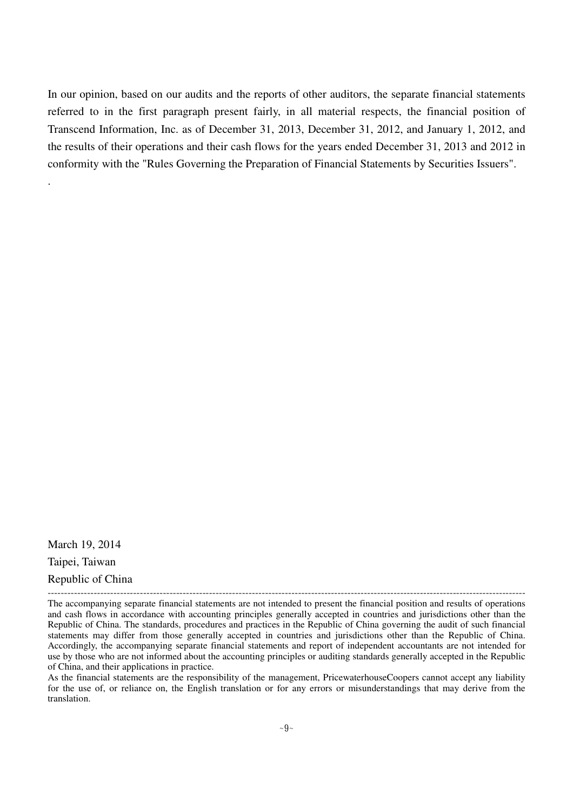In our opinion, based on our audits and the reports of other auditors, the separate financial statements referred to in the first paragraph present fairly, in all material respects, the financial position of Transcend Information, Inc. as of December 31, 2013, December 31, 2012, and January 1, 2012, and the results of their operations and their cash flows for the years ended December 31, 2013 and 2012 in conformity with the "Rules Governing the Preparation of Financial Statements by Securities Issuers".

March 19, 2014 Taipei, Taiwan Republic of China -------------------------------------------------------------------------------------------------------------------------------------------------

.

As the financial statements are the responsibility of the management, PricewaterhouseCoopers cannot accept any liability for the use of, or reliance on, the English translation or for any errors or misunderstandings that may derive from the translation.

The accompanying separate financial statements are not intended to present the financial position and results of operations and cash flows in accordance with accounting principles generally accepted in countries and jurisdictions other than the Republic of China. The standards, procedures and practices in the Republic of China governing the audit of such financial statements may differ from those generally accepted in countries and jurisdictions other than the Republic of China. Accordingly, the accompanying separate financial statements and report of independent accountants are not intended for use by those who are not informed about the accounting principles or auditing standards generally accepted in the Republic of China, and their applications in practice.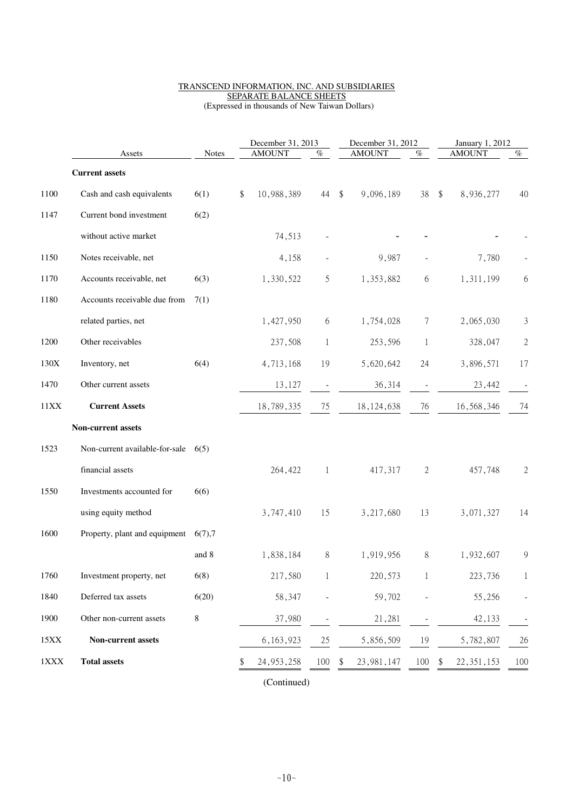#### TRANSCEND INFORMATION, INC. AND SUBSIDIARIES SEPARATE BALANCE SHEETS (Expressed in thousands of New Taiwan Dollars)

|             | Assets                                   | <b>Notes</b> | December 31, 2013<br><b>AMOUNT</b><br>% |              | December 31, 2012<br><b>AMOUNT</b>   | %                        | January 1, 2012<br><b>AMOUNT</b>     | $\%$         |
|-------------|------------------------------------------|--------------|-----------------------------------------|--------------|--------------------------------------|--------------------------|--------------------------------------|--------------|
|             | <b>Current assets</b>                    |              |                                         |              |                                      |                          |                                      |              |
| 1100        | Cash and cash equivalents                | 6(1)         | 10,988,389<br>\$                        | 44           | $\sqrt[6]{\frac{1}{2}}$<br>9,096,189 | 38                       | $\sqrt[6]{\frac{1}{2}}$<br>8,936,277 | 40           |
| 1147        | Current bond investment                  | 6(2)         |                                         |              |                                      |                          |                                      |              |
|             | without active market                    |              | 74,513                                  |              |                                      |                          |                                      |              |
| 1150        | Notes receivable, net                    |              | 4,158                                   |              | 9,987                                |                          | 7,780                                |              |
| 1170        | Accounts receivable, net                 | 6(3)         | 1,330,522                               | 5            | 1,353,882                            | 6                        | 1,311,199                            | 6            |
| 1180        | Accounts receivable due from             | 7(1)         |                                         |              |                                      |                          |                                      |              |
|             | related parties, net                     |              | 1,427,950                               | 6            | 1,754,028                            | 7                        | 2,065,030                            | 3            |
| 1200        | Other receivables                        |              | 237,508                                 | $\mathbf{1}$ | 253,596                              | $\mathbf{1}$             | 328,047                              | $\sqrt{2}$   |
| 130X        | Inventory, net                           | 6(4)         | 4,713,168                               | 19           | 5,620,642                            | 24                       | 3,896,571                            | 17           |
| 1470        | Other current assets                     |              | 13,127                                  |              | 36,314                               | $\overline{\phantom{a}}$ | 23,442                               |              |
| 11XX        | <b>Current Assets</b>                    |              | 18,789,335                              | 75           | 18, 124, 638                         | 76                       | 16,568,346                           | 74           |
|             | Non-current assets                       |              |                                         |              |                                      |                          |                                      |              |
| 1523        | Non-current available-for-sale           | 6(5)         |                                         |              |                                      |                          |                                      |              |
|             | financial assets                         |              | 264,422                                 | $\mathbf{1}$ | 417,317                              | $\mathbf{2}$             | 457,748                              | $\mathbf{2}$ |
| 1550        | Investments accounted for                | 6(6)         |                                         |              |                                      |                          |                                      |              |
|             | using equity method                      |              | 3,747,410                               | 15           | 3,217,680                            | 13                       | 3,071,327                            | 14           |
| 1600        | Property, plant and equipment $6(7)$ , 7 |              |                                         |              |                                      |                          |                                      |              |
|             |                                          | and 8        | 1,838,184                               | $\,8\,$      | 1,919,956                            | 8                        | 1,932,607                            | 9            |
| 1760        | Investment property, net                 | 6(8)         | 217,580                                 | 1            | 220,573                              | 1                        | 223,736                              | 1            |
| 1840        | Deferred tax assets                      | 6(20)        | 58,347                                  |              | 59,702                               |                          | 55,256                               |              |
| 1900        | Other non-current assets                 | 8            | 37,980                                  |              | 21,281                               |                          | 42,133                               |              |
| 15XX        | Non-current assets                       |              | 6, 163, 923                             | 25           | 5,856,509                            | 19                       | 5,782,807                            | 26           |
| $1\rm{XXX}$ | <b>Total assets</b>                      |              | 24, 953, 258                            | 100          | 23, 981, 147                         | 100                      | 22, 351, 153<br>\$                   | 100          |

(Continued)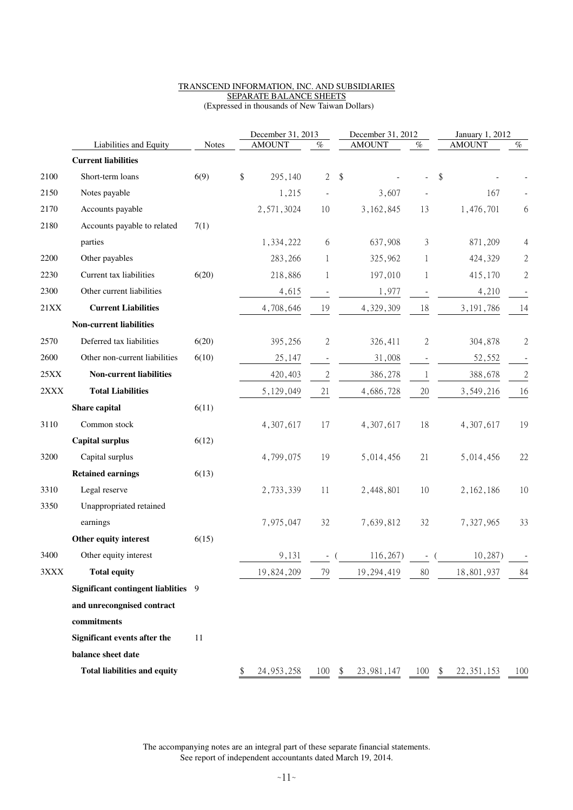#### TRANSCEND INFORMATION, INC. AND SUBSIDIARIES SEPARATE BALANCE SHEETS (Expressed in thousands of New Taiwan Dollars)

| (Expressed in thousands of New Taiwan Dollars) |  |  |
|------------------------------------------------|--|--|
|                                                |  |  |

|                 |                                     |              | December 31, 2013  |                          |                         | December 31, 2012 |              | January 1, 2012 |                |
|-----------------|-------------------------------------|--------------|--------------------|--------------------------|-------------------------|-------------------|--------------|-----------------|----------------|
|                 | Liabilities and Equity              | <b>Notes</b> | <b>AMOUNT</b>      | $\%$                     |                         | <b>AMOUNT</b>     | $\%$         | <b>AMOUNT</b>   | $\%$           |
|                 | <b>Current liabilities</b>          |              |                    |                          |                         |                   |              |                 |                |
| 2100            | Short-term loans                    | 6(9)         | \$<br>295,140      | $\overline{2}$           | $\sqrt[6]{\frac{1}{2}}$ |                   |              | \$              |                |
| 2150            | Notes payable                       |              | 1,215              |                          |                         | 3,607             |              | 167             |                |
| 2170            | Accounts payable                    |              | 2,571,3024         | 10                       |                         | 3, 162, 845       | 13           | 1,476,701       | 6              |
| 2180            | Accounts payable to related         | 7(1)         |                    |                          |                         |                   |              |                 |                |
|                 | parties                             |              | 1,334,222          | 6                        |                         | 637,908           | 3            | 871,209         | 4              |
| 2200            | Other payables                      |              | 283,266            | 1                        |                         | 325,962           | 1            | 424,329         | $\sqrt{2}$     |
| 2230            | Current tax liabilities             | 6(20)        | 218,886            | 1                        |                         | 197,010           | 1            | 415,170         | $\sqrt{2}$     |
| 2300            | Other current liabilities           |              | 4,615              |                          |                         | 1,977             |              | 4,210           |                |
| 21XX            | <b>Current Liabilities</b>          |              | 4,708,646          | 19                       |                         | 4,329,309         | 18           | 3, 191, 786     | 14             |
|                 | <b>Non-current liabilities</b>      |              |                    |                          |                         |                   |              |                 |                |
| 2570            | Deferred tax liabilities            | 6(20)        | 395,256            | $\mathbf{2}$             |                         | 326,411           | 2            | 304,878         | $\overline{2}$ |
| 2600            | Other non-current liabilities       | 6(10)        | 25,147             | $\overline{\phantom{a}}$ |                         | 31,008            |              | 52,552          |                |
| 25XX            | <b>Non-current liabilities</b>      |              | 420,403            | $\sqrt{2}$               |                         | 386,278           | $\mathbf{1}$ | 388,678         | $\sqrt{2}$     |
| $2\mathbf{XXX}$ | <b>Total Liabilities</b>            |              | 5, 129, 049        | 21                       |                         | 4,686,728         | 20           | 3,549,216       | 16             |
|                 | Share capital                       | 6(11)        |                    |                          |                         |                   |              |                 |                |
| 3110            | Common stock                        |              | 4,307,617          | 17                       |                         | 4,307,617         | 18           | 4,307,617       | 19             |
|                 | <b>Capital surplus</b>              | 6(12)        |                    |                          |                         |                   |              |                 |                |
| 3200            | Capital surplus                     |              | 4,799,075          | 19                       |                         | 5,014,456         | 21           | 5,014,456       | 22             |
|                 | <b>Retained earnings</b>            | 6(13)        |                    |                          |                         |                   |              |                 |                |
| 3310            | Legal reserve                       |              | 2,733,339          | 11                       |                         | 2,448,801         | 10           | 2, 162, 186     | 10             |
| 3350            | Unappropriated retained             |              |                    |                          |                         |                   |              |                 |                |
|                 | earnings                            |              | 7,975,047          | 32                       |                         | 7,639,812         | 32           | 7,327,965       | 33             |
|                 | Other equity interest               | 6(15)        |                    |                          |                         |                   |              |                 |                |
| 3400            | Other equity interest               |              | 9,131              | $\sim$                   |                         | 116,267)          |              | 10,287)         |                |
| 3XXX            | <b>Total equity</b>                 |              | 19,824,209         | 79                       |                         | 19,294,419        | 80           | 18,801,937      | 84             |
|                 | Significant contingent liablities 9 |              |                    |                          |                         |                   |              |                 |                |
|                 | and unrecongnised contract          |              |                    |                          |                         |                   |              |                 |                |
|                 | commitments                         |              |                    |                          |                         |                   |              |                 |                |
|                 | Significant events after the        | 11           |                    |                          |                         |                   |              |                 |                |
|                 | balance sheet date                  |              |                    |                          |                         |                   |              |                 |                |
|                 | <b>Total liabilities and equity</b> |              | \$<br>24, 953, 258 | $100 - $$                |                         | 23, 981, 147      | $100 - $$    | 22, 351, 153    | 100            |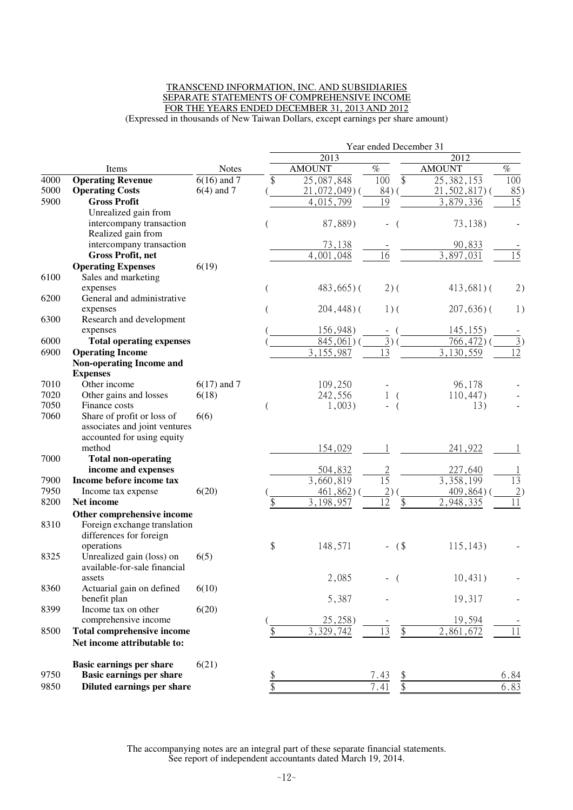#### TRANSCEND INFORMATION, INC. AND SUBSIDIARIES SEPARATE STATEMENTS OF COMPREHENSIVE INCOME FOR THE YEARS ENDED DECEMBER 31, 2013 AND 2012 (Expressed in thousands of New Taiwan Dollars, except earnings per share amount)

Year ended December 31 2013 2012 Items Notes AMOUNT  $\%$  AMOUNT  $\%$ 4000 **Operating Revenue** 6(16) and 7 \$ 25,087,848 100 \$ 25,382,153 100 5000 **Operating Costs** 6(4) and 7 ( 21,072,049) ( 84) ( 21,502,817) ( 85) 5900 **Gross Profit** 4,015,799 19 3,879,336 15 Unrealized gain from intercompany transaction  $(87,889)$   $(73,138)$ Realized gain from intercompany transaction 73,138 - 90,833 **Gross Profit, net** 4,001,048 16 3,897,031 15 **Operating Expenses** 6(19) 6100 Sales and marketing  $($  483,665) ( 2) ( 413,681) ( 2) 6200 General and administrative expenses ( 204,448) ( 201,636) ( 1) 6300 Research and development expenses (156,948) - (145,155) -6000 **Total operating expenses** (<br>6900 **Operating Income** (<br> $\frac{845,061}{3,155,987}$  ( $\frac{3}{13}$ ) ( $\frac{766,472}{3,130,559}$  ( $\frac{3}{12}$ ) **6900 Operating Income** 3,155,987 13 3,130 **Non-operating Income and Expenses**<br>Other income 7010 Other income 6(17) and 7 109,250 - 96,178 -7020 Other gains and losses 6(18)  $(18)$  242,556 1 ( 110,447)<br>7050 Finance costs 1.003) - ( 13) 7050 Finance costs (1,003) - (13) -7060 Share of profit or loss of associates and joint ventures accounted for using equity method 6(6) 154,029 1 241,922 1 7000 **Total non-operating income and expenses** 504,832 2 227,640 **17900 Income before income tax** 3,660,819 15 3,358,199 13<br> **17950** Income tax expense 6(20) (461,862) (2) (409,864) (2) Income tax expense  $6(20)$  (  $461,862$ ) (  $2)$  (  $409,864$ ) ( 2) 8200 **Net income** \$ 3,198,957 12 \$ 2,948,335 11 **Other comprehensive income** 8310 Foreign exchange translation differences for foreign<br>operations operations \$ 148,571 - (\$ 115,143) -8325 Unrealized gain (loss) on available-for-sale financial assets 6(5)  $2,085$  - ( 10,431) 8360 Actuarial gain on defined benefit plan 6(10) 5,387 - 19,317 - 8399 Income tax on other comprehensive income 6(20)  $(25,258)$  - 19,594 -8500 **Total comprehensive income**  $\frac{1}{8}$  3,329,742 13 \$ 2,861,672 11 **Net income attributable to: Basic earnings per share** 6(21) 9750 **Basic earnings per share \$** 7.43 \$ 6.84 9850 **Diluted earnings per share** \$ 7.41 \$ 6.83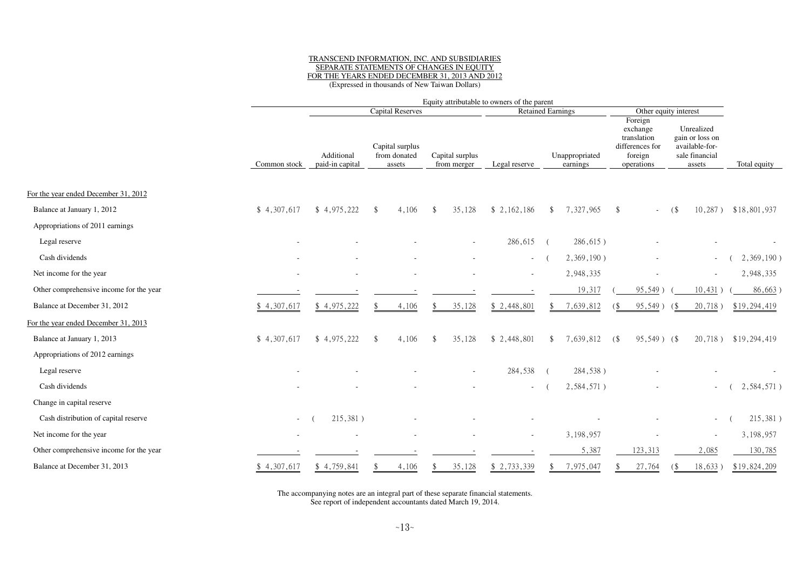# TRANSCEND INFORMATION, INC. AND SUBSIDIARIES SEPARATE STATEMENTS OF CHANGES IN EQUITYFOR THE YEARS ENDED DECEMBER 31, 2013 AND 2012 (Expressed in thousands of New Taiwan Dollars)

|                                         |              | Equity attributable to owners of the parent |                                           |                                |               |                            |                                                                                |                                                                             |              |
|-----------------------------------------|--------------|---------------------------------------------|-------------------------------------------|--------------------------------|---------------|----------------------------|--------------------------------------------------------------------------------|-----------------------------------------------------------------------------|--------------|
|                                         |              |                                             | <b>Capital Reserves</b>                   |                                |               | <b>Retained Earnings</b>   |                                                                                | Other equity interest                                                       |              |
|                                         | Common stock | Additional<br>paid-in capital               | Capital surplus<br>from donated<br>assets | Capital surplus<br>from merger | Legal reserve | Unappropriated<br>earnings | Foreign<br>exchange<br>translation<br>differences for<br>foreign<br>operations | Unrealized<br>gain or loss on<br>available-for-<br>sale financial<br>assets | Total equity |
| For the year ended December 31, 2012    |              |                                             |                                           |                                |               |                            |                                                                                |                                                                             |              |
| Balance at January 1, 2012              | \$4,307,617  | \$4,975,222                                 | 4,106<br><sup>\$</sup>                    | 35,128<br>$\mathbf{\$}$        | \$2,162,186   | 7,327,965<br>$\mathcal{S}$ | \$                                                                             | $10,287$ )<br>(                                                             | \$18,801,937 |
| Appropriations of 2011 earnings         |              |                                             |                                           |                                |               |                            |                                                                                |                                                                             |              |
| Legal reserve                           |              |                                             |                                           |                                | 286,615       | $286,615$ )<br>$\sqrt{ }$  |                                                                                |                                                                             |              |
| Cash dividends                          |              |                                             |                                           |                                | $\sim 100$    | 2,369,190)                 |                                                                                | $\sim$                                                                      | 2,369,190)   |
| Net income for the year                 |              |                                             |                                           |                                |               | 2,948,335                  |                                                                                | $\sim$                                                                      | 2,948,335    |
| Other comprehensive income for the year |              |                                             |                                           |                                |               | 19,317                     | 95,549)                                                                        | 10,431)                                                                     | 86,663       |
| Balance at December 31, 2012            | \$4,307,617  | \$4,975,222                                 | 4,106                                     | 35,128                         | \$2,448,801   | 7,639,812                  | 95,549)                                                                        | 20,718)<br>68                                                               | \$19,294,419 |
| For the year ended December 31, 2013    |              |                                             |                                           |                                |               |                            |                                                                                |                                                                             |              |
| Balance at January 1, 2013              | \$4,307,617  | \$4,975,222                                 | 4,106<br><sup>\$</sup>                    | 35,128<br>$\mathbf{\$}$        | \$2,448,801   | 7,639,812<br>-S            | $95,549$ ) (\$<br>$($ \$                                                       | $20,718$ )                                                                  | \$19,294,419 |
| Appropriations of 2012 earnings         |              |                                             |                                           |                                |               |                            |                                                                                |                                                                             |              |
| Legal reserve                           |              |                                             |                                           |                                | 284,538       | 284,538)                   |                                                                                |                                                                             |              |
| Cash dividends                          |              |                                             |                                           |                                |               | 2,584,571)                 |                                                                                |                                                                             | 2,584,571)   |
| Change in capital reserve               |              |                                             |                                           |                                |               |                            |                                                                                |                                                                             |              |
| Cash distribution of capital reserve    | $\sim$       | 215,381)                                    |                                           |                                |               |                            |                                                                                | $\sim$                                                                      | 215,381)     |
| Net income for the year                 |              |                                             |                                           |                                |               | 3,198,957                  |                                                                                |                                                                             | 3,198,957    |
| Other comprehensive income for the year |              |                                             |                                           |                                |               | 5,387                      | 123,313                                                                        | 2,085                                                                       | 130,785      |
| Balance at December 31, 2013            | \$4,307,617  | \$4,759,841                                 | 4,106                                     | 35,128                         | \$ 2,733,339  | 7,975,047                  | 27,764                                                                         | 18,633)                                                                     | \$19,824,209 |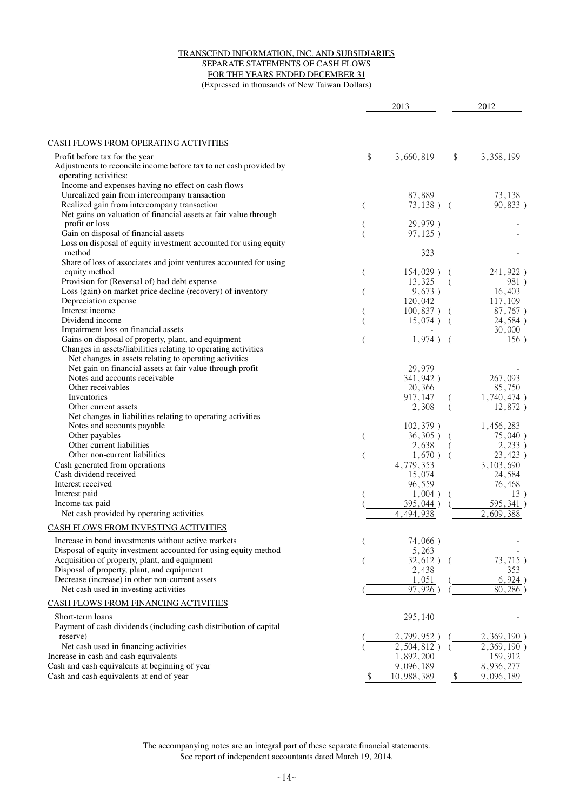#### TRANSCEND INFORMATION, INC. AND SUBSIDIARIES SEPARATE STATEMENTS OF CASH FLOWS FOR THE YEARS ENDED DECEMBER 31 (Expressed in thousands of New Taiwan Dollars)

|                                                                                                     |                | 2013                    |          | 2012                   |
|-----------------------------------------------------------------------------------------------------|----------------|-------------------------|----------|------------------------|
| CASH FLOWS FROM OPERATING ACTIVITIES                                                                |                |                         |          |                        |
| Profit before tax for the year                                                                      | \$             | 3,660,819               | \$       | 3,358,199              |
| Adjustments to reconcile income before tax to net cash provided by                                  |                |                         |          |                        |
| operating activities:                                                                               |                |                         |          |                        |
| Income and expenses having no effect on cash flows<br>Unrealized gain from intercompany transaction |                | 87,889                  |          | 73,138                 |
| Realized gain from intercompany transaction                                                         | $\overline{(}$ | $73,138)$ (             |          | 90,833)                |
| Net gains on valuation of financial assets at fair value through                                    |                |                         |          |                        |
| profit or loss                                                                                      |                | 29,979)                 |          |                        |
| Gain on disposal of financial assets                                                                |                | 97,125)                 |          |                        |
| Loss on disposal of equity investment accounted for using equity                                    |                |                         |          |                        |
| method                                                                                              |                | 323                     |          |                        |
| Share of loss of associates and joint ventures accounted for using                                  |                |                         |          |                        |
| equity method<br>Provision for (Reversal of) bad debt expense                                       | $\overline{C}$ | $154,029$ ) (<br>13,325 |          | 241,922)<br>981)       |
| Loss (gain) on market price decline (recovery) of inventory                                         | $\overline{ }$ | 9,673)                  | $\left($ | 16,403                 |
| Depreciation expense                                                                                |                | 120,042                 |          | 117,109                |
| Interest income                                                                                     |                | $100,837$ ) (           |          | 87,767)                |
| Dividend income                                                                                     |                | $15,074$ ) (            |          | 24,584)                |
| Impairment loss on financial assets                                                                 |                |                         |          | 30,000                 |
| Gains on disposal of property, plant, and equipment                                                 |                | $1,974$ ) (             |          | 156)                   |
| Changes in assets/liabilities relating to operating activities                                      |                |                         |          |                        |
| Net changes in assets relating to operating activities                                              |                |                         |          |                        |
| Net gain on financial assets at fair value through profit<br>Notes and accounts receivable          |                | 29,979                  |          |                        |
| Other receivables                                                                                   |                | 341,942)<br>20,366      |          | 267,093<br>85,750      |
| Inventories                                                                                         |                | 917,147                 |          | 1,740,474)             |
| Other current assets                                                                                |                | 2,308                   |          | 12,872)                |
| Net changes in liabilities relating to operating activities                                         |                |                         |          |                        |
| Notes and accounts payable                                                                          |                | $102,379$ )             |          | 1,456,283              |
| Other payables                                                                                      |                | $36,305$ )              |          | 75,040)                |
| Other current liabilities                                                                           |                | 2,638                   |          | 2,233)                 |
| Other non-current liabilities                                                                       |                | 1,670)                  |          | 23,423)                |
| Cash generated from operations                                                                      |                | 4,779,353               |          | 3, 103, 690            |
| Cash dividend received                                                                              |                | 15,074                  |          | 24,584                 |
| Interest received                                                                                   |                | 96,559                  |          | 76,468                 |
| Interest paid<br>Income tax paid                                                                    |                | $1,004$ )<br>395,044)   |          | 13)<br>595,341)        |
| Net cash provided by operating activities                                                           |                | 4,494,938               |          | 2,609,388              |
|                                                                                                     |                |                         |          |                        |
| CASH FLOWS FROM INVESTING ACTIVITIES                                                                |                |                         |          |                        |
| Increase in bond investments without active markets                                                 | (              | 74,066)                 |          |                        |
| Disposal of equity investment accounted for using equity method                                     |                | 5,263                   |          |                        |
| Acquisition of property, plant, and equipment                                                       |                | $32,612$ ) (            |          | 73,715)                |
| Disposal of property, plant, and equipment                                                          |                | 2,438                   |          | 353                    |
| Decrease (increase) in other non-current assets<br>Net cash used in investing activities            |                | 1,051<br>97,926         |          | 6,924)<br>80,286       |
|                                                                                                     |                |                         |          |                        |
| CASH FLOWS FROM FINANCING ACTIVITIES                                                                |                |                         |          |                        |
| Short-term loans                                                                                    |                | 295,140                 |          |                        |
| Payment of cash dividends (including cash distribution of capital                                   |                |                         |          |                        |
| reserve)                                                                                            |                | 2,799,952               |          | $2,369,190$ )          |
| Net cash used in financing activities                                                               |                | 2,504,812)              |          | 2,369,190)             |
| Increase in cash and cash equivalents                                                               |                | 1,892,200               |          | 159,912                |
| Cash and cash equivalents at beginning of year<br>Cash and cash equivalents at end of year          |                | 9,096,189               |          | 8,936,277<br>9,096,189 |
|                                                                                                     |                | 10,988,389              | \$       |                        |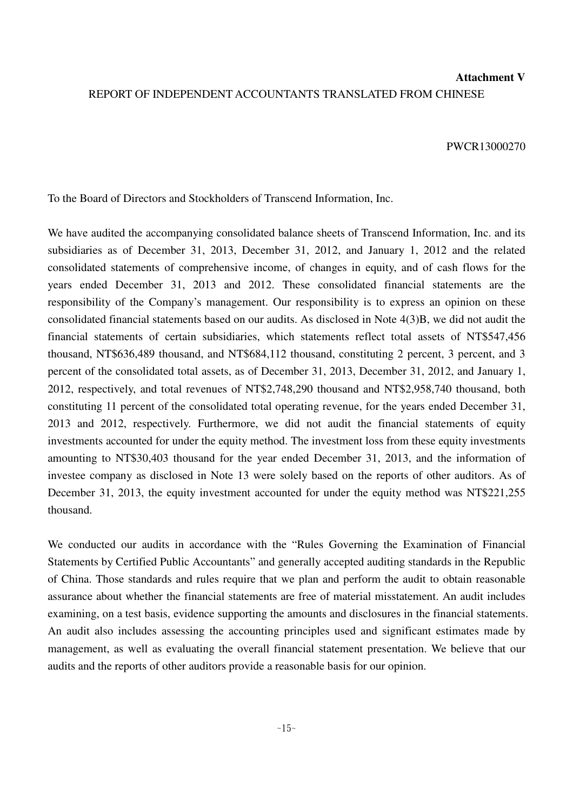# **Attachment V** REPORT OF INDEPENDENT ACCOUNTANTS TRANSLATED FROM CHINESE

#### PWCR13000270

To the Board of Directors and Stockholders of Transcend Information, Inc.

We have audited the accompanying consolidated balance sheets of Transcend Information, Inc. and its subsidiaries as of December 31, 2013, December 31, 2012, and January 1, 2012 and the related consolidated statements of comprehensive income, of changes in equity, and of cash flows for the years ended December 31, 2013 and 2012. These consolidated financial statements are the responsibility of the Company's management. Our responsibility is to express an opinion on these consolidated financial statements based on our audits. As disclosed in Note 4(3)B, we did not audit the financial statements of certain subsidiaries, which statements reflect total assets of NT\$547,456 thousand, NT\$636,489 thousand, and NT\$684,112 thousand, constituting 2 percent, 3 percent, and 3 percent of the consolidated total assets, as of December 31, 2013, December 31, 2012, and January 1, 2012, respectively, and total revenues of NT\$2,748,290 thousand and NT\$2,958,740 thousand, both constituting 11 percent of the consolidated total operating revenue, for the years ended December 31, 2013 and 2012, respectively. Furthermore, we did not audit the financial statements of equity investments accounted for under the equity method. The investment loss from these equity investments amounting to NT\$30,403 thousand for the year ended December 31, 2013, and the information of investee company as disclosed in Note 13 were solely based on the reports of other auditors. As of December 31, 2013, the equity investment accounted for under the equity method was NT\$221,255 thousand.

We conducted our audits in accordance with the "Rules Governing the Examination of Financial Statements by Certified Public Accountants" and generally accepted auditing standards in the Republic of China. Those standards and rules require that we plan and perform the audit to obtain reasonable assurance about whether the financial statements are free of material misstatement. An audit includes examining, on a test basis, evidence supporting the amounts and disclosures in the financial statements. An audit also includes assessing the accounting principles used and significant estimates made by management, as well as evaluating the overall financial statement presentation. We believe that our audits and the reports of other auditors provide a reasonable basis for our opinion.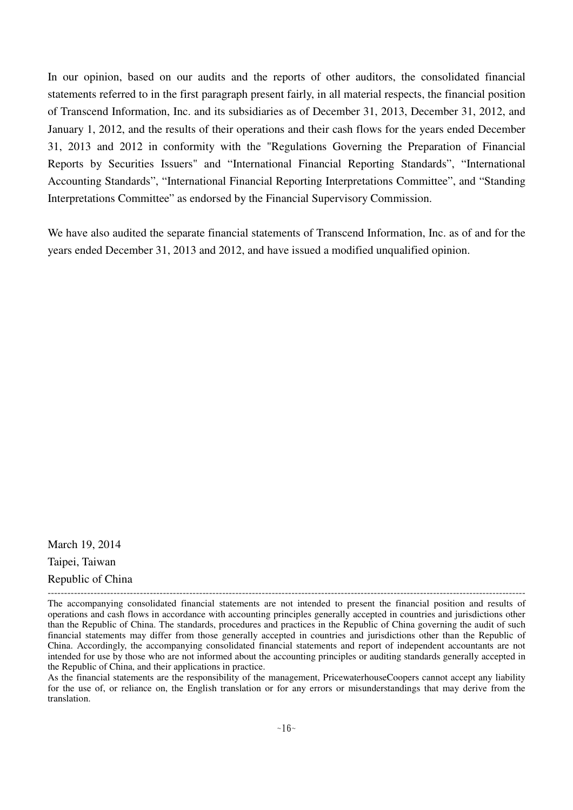In our opinion, based on our audits and the reports of other auditors, the consolidated financial statements referred to in the first paragraph present fairly, in all material respects, the financial position of Transcend Information, Inc. and its subsidiaries as of December 31, 2013, December 31, 2012, and January 1, 2012, and the results of their operations and their cash flows for the years ended December 31, 2013 and 2012 in conformity with the "Regulations Governing the Preparation of Financial Reports by Securities Issuers" and "International Financial Reporting Standards", "International Accounting Standards", "International Financial Reporting Interpretations Committee", and "Standing Interpretations Committee" as endorsed by the Financial Supervisory Commission.

We have also audited the separate financial statements of Transcend Information, Inc. as of and for the years ended December 31, 2013 and 2012, and have issued a modified unqualified opinion.

March 19, 2014 Taipei, Taiwan Republic of China

As the financial statements are the responsibility of the management, PricewaterhouseCoopers cannot accept any liability for the use of, or reliance on, the English translation or for any errors or misunderstandings that may derive from the translation.

<sup>-------------------------------------------------------------------------------------------------------------------------------------------------</sup> The accompanying consolidated financial statements are not intended to present the financial position and results of operations and cash flows in accordance with accounting principles generally accepted in countries and jurisdictions other than the Republic of China. The standards, procedures and practices in the Republic of China governing the audit of such financial statements may differ from those generally accepted in countries and jurisdictions other than the Republic of China. Accordingly, the accompanying consolidated financial statements and report of independent accountants are not intended for use by those who are not informed about the accounting principles or auditing standards generally accepted in the Republic of China, and their applications in practice.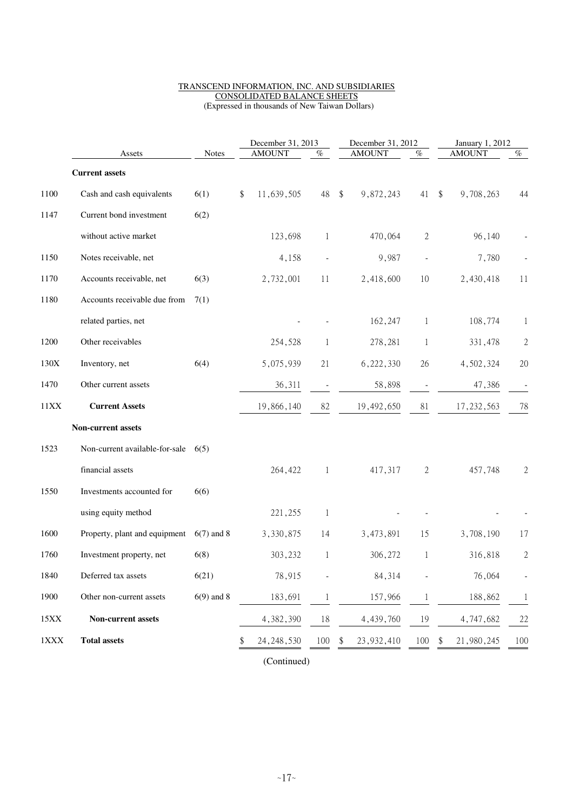#### TRANSCEND INFORMATION, INC. AND SUBSIDIARIES CONSOLIDATED BALANCE SHEETS (Expressed in thousands of New Taiwan Dollars)

|      |                                |              | December 31, 2013 |               |              | December 31, 2012          |               | January 1, 2012 |                                      |                |
|------|--------------------------------|--------------|-------------------|---------------|--------------|----------------------------|---------------|-----------------|--------------------------------------|----------------|
|      | Assets                         | <b>Notes</b> |                   | <b>AMOUNT</b> | %            |                            | <b>AMOUNT</b> | $\%$            | <b>AMOUNT</b>                        | $\%$           |
|      | <b>Current assets</b>          |              |                   |               |              |                            |               |                 |                                      |                |
| 1100 | Cash and cash equivalents      | 6(1)         | \$                | 11,639,505    | 48           | $\boldsymbol{\mathsf{\$}}$ | 9,872,243     | 41              | $\sqrt[6]{\frac{1}{2}}$<br>9,708,263 | 44             |
| 1147 | Current bond investment        | 6(2)         |                   |               |              |                            |               |                 |                                      |                |
|      | without active market          |              |                   | 123,698       | 1            |                            | 470,064       | $\mathbf{2}$    | 96,140                               |                |
| 1150 | Notes receivable, net          |              |                   | 4,158         |              |                            | 9,987         | $\centerdot$    | 7,780                                |                |
| 1170 | Accounts receivable, net       | 6(3)         |                   | 2,732,001     | 11           |                            | 2,418,600     | 10              | 2,430,418                            | 11             |
| 1180 | Accounts receivable due from   | 7(1)         |                   |               |              |                            |               |                 |                                      |                |
|      | related parties, net           |              |                   |               |              |                            | 162,247       | 1               | 108,774                              | 1              |
| 1200 | Other receivables              |              |                   | 254,528       | 1            |                            | 278,281       | 1               | 331,478                              | $\overline{c}$ |
| 130X | Inventory, net                 | 6(4)         |                   | 5,075,939     | 21           |                            | 6,222,330     | 26              | 4,502,324                            | 20             |
| 1470 | Other current assets           |              |                   | 36,311        |              |                            | 58,898        |                 | 47,386                               |                |
| 11XX | <b>Current Assets</b>          |              |                   | 19,866,140    | 82           |                            | 19,492,650    | 81              | 17, 232, 563                         | 78             |
|      | Non-current assets             |              |                   |               |              |                            |               |                 |                                      |                |
| 1523 | Non-current available-for-sale | 6(5)         |                   |               |              |                            |               |                 |                                      |                |
|      | financial assets               |              |                   | 264,422       | $\mathbf{1}$ |                            | 417,317       | $\mathbf{2}$    | 457,748                              | $\overline{c}$ |
| 1550 | Investments accounted for      | 6(6)         |                   |               |              |                            |               |                 |                                      |                |
|      | using equity method            |              |                   | 221,255       | -1           |                            |               |                 |                                      |                |
| 1600 | Property, plant and equipment  | $6(7)$ and 8 |                   | 3,330,875     | 14           |                            | 3,473,891     | 15              | 3,708,190                            | 17             |
| 1760 | Investment property, net       | 6(8)         |                   | 303,232       | 1            |                            | 306,272       | 1               | 316,818                              | $\sqrt{2}$     |
| 1840 | Deferred tax assets            | 6(21)        |                   | 78,915        |              |                            | 84,314        |                 | 76,064                               | $\overline{a}$ |
| 1900 | Other non-current assets       | $6(9)$ and 8 |                   | 183,691       |              |                            | 157,966       |                 | 188,862                              | $\mathbf{1}$   |
| 15XX | Non-current assets             |              |                   | 4,382,390     | 18           |                            | 4,439,760     | 19              | 4,747,682                            | 22             |
| 1XXX | <b>Total assets</b>            |              | \$                | 24, 248, 530  | 100          | \$                         | 23,932,410    | 100             | 21,980,245<br>\$                     | 100            |

(Continued)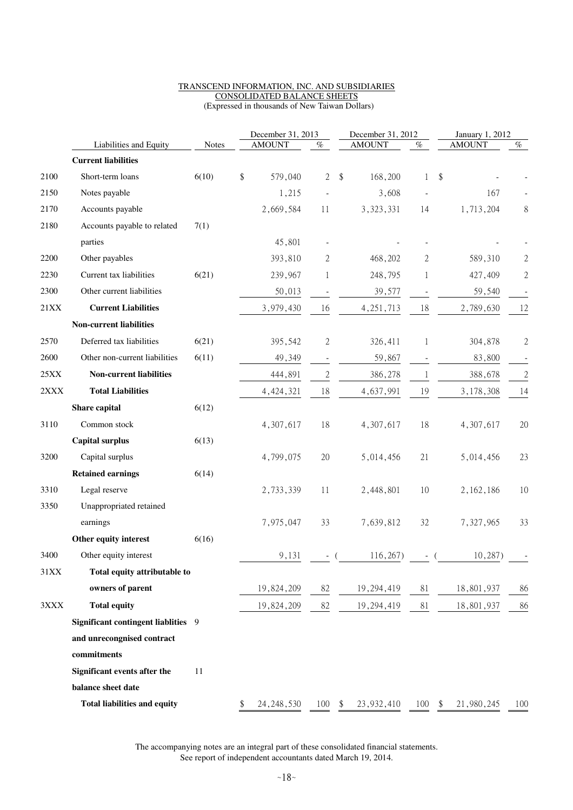#### TRANSCEND INFORMATION, INC. AND SUBSIDIARIES CONSOLIDATED BALANCE SHEETS (Expressed in thousands of New Taiwan Dollars)

| <b>AMOUNT</b><br><b>AMOUNT</b><br>$\%$<br>$\%$<br>Liabilities and Equity<br><b>Notes</b><br><b>Current liabilities</b><br>Short-term loans<br>\$<br>$\overline{2}$<br>168,200<br>\$<br>2100<br>6(10)<br>579,040<br>$\sqrt[6]{\frac{1}{2}}$<br>1<br>2150<br>Notes payable<br>1,215<br>3,608<br>Accounts payable<br>2170<br>2,669,584<br>3,323,331<br>14<br>11<br>2180<br>Accounts payable to related<br>7(1)<br>45,801<br>parties<br>2200<br>Other payables<br>393,810<br>2<br>468,202<br>2<br>Current tax liabilities<br>2230<br>6(21)<br>239,967<br>248,795<br>1<br>1<br>Other current liabilities<br>2300<br>50,013<br>39,577<br>21XX<br><b>Current Liabilities</b><br>3,979,430<br>4, 251, 713<br>18<br>16<br>Non-current liabilities<br>2570<br>Deferred tax liabilities<br>$\mathfrak{2}$<br>6(21)<br>326,411<br>395,542<br>1<br>2600<br>Other non-current liabilities<br>6(11) | <b>AMOUNT</b> | $\%$             |
|--------------------------------------------------------------------------------------------------------------------------------------------------------------------------------------------------------------------------------------------------------------------------------------------------------------------------------------------------------------------------------------------------------------------------------------------------------------------------------------------------------------------------------------------------------------------------------------------------------------------------------------------------------------------------------------------------------------------------------------------------------------------------------------------------------------------------------------------------------------------------------------|---------------|------------------|
|                                                                                                                                                                                                                                                                                                                                                                                                                                                                                                                                                                                                                                                                                                                                                                                                                                                                                      |               |                  |
|                                                                                                                                                                                                                                                                                                                                                                                                                                                                                                                                                                                                                                                                                                                                                                                                                                                                                      |               |                  |
|                                                                                                                                                                                                                                                                                                                                                                                                                                                                                                                                                                                                                                                                                                                                                                                                                                                                                      |               |                  |
|                                                                                                                                                                                                                                                                                                                                                                                                                                                                                                                                                                                                                                                                                                                                                                                                                                                                                      | 167           |                  |
|                                                                                                                                                                                                                                                                                                                                                                                                                                                                                                                                                                                                                                                                                                                                                                                                                                                                                      | 1,713,204     | 8                |
|                                                                                                                                                                                                                                                                                                                                                                                                                                                                                                                                                                                                                                                                                                                                                                                                                                                                                      |               |                  |
|                                                                                                                                                                                                                                                                                                                                                                                                                                                                                                                                                                                                                                                                                                                                                                                                                                                                                      |               |                  |
|                                                                                                                                                                                                                                                                                                                                                                                                                                                                                                                                                                                                                                                                                                                                                                                                                                                                                      | 589,310       | $\boldsymbol{2}$ |
|                                                                                                                                                                                                                                                                                                                                                                                                                                                                                                                                                                                                                                                                                                                                                                                                                                                                                      | 427,409       | $\mathbf{2}$     |
|                                                                                                                                                                                                                                                                                                                                                                                                                                                                                                                                                                                                                                                                                                                                                                                                                                                                                      | 59,540        |                  |
|                                                                                                                                                                                                                                                                                                                                                                                                                                                                                                                                                                                                                                                                                                                                                                                                                                                                                      | 2,789,630     | 12               |
|                                                                                                                                                                                                                                                                                                                                                                                                                                                                                                                                                                                                                                                                                                                                                                                                                                                                                      |               |                  |
|                                                                                                                                                                                                                                                                                                                                                                                                                                                                                                                                                                                                                                                                                                                                                                                                                                                                                      | 304,878       | $\boldsymbol{2}$ |
| 49,349<br>59,867<br>$\overline{\phantom{a}}$                                                                                                                                                                                                                                                                                                                                                                                                                                                                                                                                                                                                                                                                                                                                                                                                                                         | 83,800        |                  |
| $25XX$<br><b>Non-current liabilities</b><br>$\sqrt{2}$<br>444,891<br>386,278<br>1                                                                                                                                                                                                                                                                                                                                                                                                                                                                                                                                                                                                                                                                                                                                                                                                    | 388,678       | $\sqrt{2}$       |
| $2\mathbf{XXX}$<br><b>Total Liabilities</b><br>18<br>4,637,991<br>19<br>4,424,321                                                                                                                                                                                                                                                                                                                                                                                                                                                                                                                                                                                                                                                                                                                                                                                                    | 3,178,308     | 14               |
| Share capital<br>6(12)                                                                                                                                                                                                                                                                                                                                                                                                                                                                                                                                                                                                                                                                                                                                                                                                                                                               |               |                  |
| 3110<br>18<br>Common stock<br>4,307,617<br>18<br>4,307,617                                                                                                                                                                                                                                                                                                                                                                                                                                                                                                                                                                                                                                                                                                                                                                                                                           | 4,307,617     | $20\,$           |
| <b>Capital surplus</b><br>6(13)                                                                                                                                                                                                                                                                                                                                                                                                                                                                                                                                                                                                                                                                                                                                                                                                                                                      |               |                  |
| 3200<br>Capital surplus<br>4,799,075<br>20<br>5,014,456<br>21                                                                                                                                                                                                                                                                                                                                                                                                                                                                                                                                                                                                                                                                                                                                                                                                                        | 5,014,456     | 23               |
| <b>Retained earnings</b><br>6(14)                                                                                                                                                                                                                                                                                                                                                                                                                                                                                                                                                                                                                                                                                                                                                                                                                                                    |               |                  |
| 3310<br>Legal reserve<br>2,733,339<br>11<br>2,448,801<br>10                                                                                                                                                                                                                                                                                                                                                                                                                                                                                                                                                                                                                                                                                                                                                                                                                          | 2, 162, 186   | 10               |
| Unappropriated retained<br>3350                                                                                                                                                                                                                                                                                                                                                                                                                                                                                                                                                                                                                                                                                                                                                                                                                                                      |               |                  |
| 32<br>earnings<br>7,975,047<br>33<br>7,639,812                                                                                                                                                                                                                                                                                                                                                                                                                                                                                                                                                                                                                                                                                                                                                                                                                                       | 7,327,965     | 33               |
| Other equity interest<br>6(16)                                                                                                                                                                                                                                                                                                                                                                                                                                                                                                                                                                                                                                                                                                                                                                                                                                                       |               |                  |
| 3400<br>Other equity interest<br>9,131<br>116,267)<br>$\overline{\phantom{a}}$<br>$\overline{\phantom{a}}$                                                                                                                                                                                                                                                                                                                                                                                                                                                                                                                                                                                                                                                                                                                                                                           | 10,287)       |                  |
| Total equity attributable to<br>31XX                                                                                                                                                                                                                                                                                                                                                                                                                                                                                                                                                                                                                                                                                                                                                                                                                                                 |               |                  |
| owners of parent<br>19,824,209<br>82<br>19,294,419<br>81                                                                                                                                                                                                                                                                                                                                                                                                                                                                                                                                                                                                                                                                                                                                                                                                                             | 18,801,937    | 86               |
| <b>Total equity</b><br>82<br>3XXX<br>19,824,209<br>19, 294, 419<br>81                                                                                                                                                                                                                                                                                                                                                                                                                                                                                                                                                                                                                                                                                                                                                                                                                | 18,801,937    | 86               |
| Significant contingent liablities 9                                                                                                                                                                                                                                                                                                                                                                                                                                                                                                                                                                                                                                                                                                                                                                                                                                                  |               |                  |
| and unrecongnised contract                                                                                                                                                                                                                                                                                                                                                                                                                                                                                                                                                                                                                                                                                                                                                                                                                                                           |               |                  |
| commitments                                                                                                                                                                                                                                                                                                                                                                                                                                                                                                                                                                                                                                                                                                                                                                                                                                                                          |               |                  |
| Significant events after the<br>11                                                                                                                                                                                                                                                                                                                                                                                                                                                                                                                                                                                                                                                                                                                                                                                                                                                   |               |                  |
| balance sheet date                                                                                                                                                                                                                                                                                                                                                                                                                                                                                                                                                                                                                                                                                                                                                                                                                                                                   |               |                  |
| <b>Total liabilities and equity</b><br>$100 - $$<br>24, 248, 530<br>23,932,410<br>$100 \,$ \$<br>\$                                                                                                                                                                                                                                                                                                                                                                                                                                                                                                                                                                                                                                                                                                                                                                                  | 21,980,245    | 100              |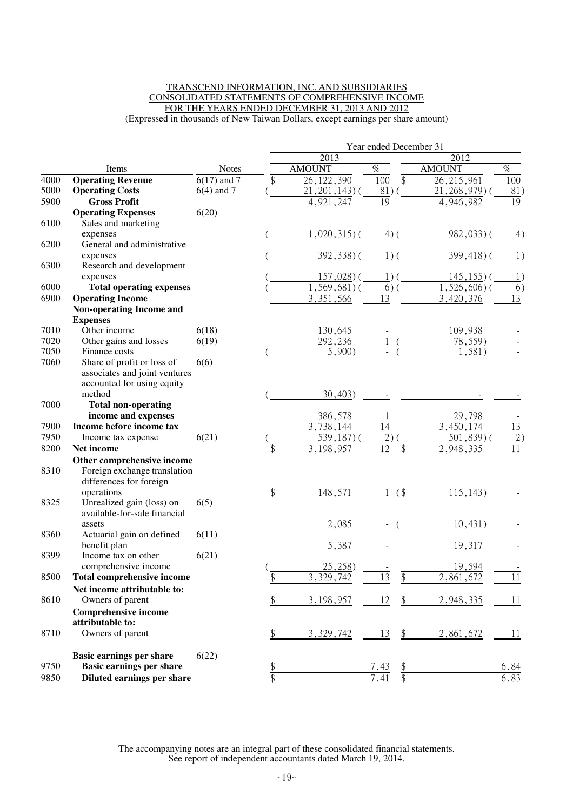#### TRANSCEND INFORMATION, INC. AND SUBSIDIARIES CONSOLIDATED STATEMENTS OF COMPREHENSIVE INCOME FOR THE YEARS ENDED DECEMBER 31, 2013 AND 2012 (Expressed in thousands of New Taiwan Dollars, except earnings per share amount)

|      |                                                         |               | Year ended December 31 |                         |                        |                |                 |
|------|---------------------------------------------------------|---------------|------------------------|-------------------------|------------------------|----------------|-----------------|
|      |                                                         |               |                        | 2013                    |                        | 2012           |                 |
|      | Items                                                   | <b>Notes</b>  |                        | <b>AMOUNT</b>           | $\%$                   | <b>AMOUNT</b>  | $\%$            |
| 4000 | <b>Operating Revenue</b>                                | $6(17)$ and 7 | \$                     | 26, 122, 390            | $\overline{\$}$<br>100 | 26, 215, 961   | 100             |
| 5000 | <b>Operating Costs</b>                                  | $6(4)$ and 7  |                        | $21, 201, 143$ ) (      | $81)$ (                | $21,268,979$ ( | 81)             |
| 5900 | <b>Gross Profit</b>                                     |               |                        | 4,921,247               | $\overline{19}$        | 4,946,982      | 19              |
|      | <b>Operating Expenses</b>                               | 6(20)         |                        |                         |                        |                |                 |
| 6100 | Sales and marketing                                     |               |                        |                         |                        |                |                 |
|      | expenses                                                |               |                        | $1,020,315$ (           | $4)$ (                 | $982,033$ )(   | 4)              |
| 6200 | General and administrative                              |               |                        |                         |                        |                |                 |
| 6300 | expenses<br>Research and development                    |               |                        | $392,338$ ) (           | $1)$ (                 | $399,418$ ) (  | 1)              |
|      | expenses                                                |               |                        | $157,028$ ) (           | $1)$ (                 | $145, 155$ ) ( | 1)              |
| 6000 | <b>Total operating expenses</b>                         |               |                        | $, 569, 681)$ (         | 6)                     | $,526,606$ )(  | 6)              |
| 6900 | <b>Operating Income</b>                                 |               |                        | 3,351,566               | 13                     | 3,420,376      | $\overline{13}$ |
|      | <b>Non-operating Income and</b>                         |               |                        |                         |                        |                |                 |
|      | <b>Expenses</b>                                         |               |                        |                         |                        |                |                 |
| 7010 | Other income                                            | 6(18)         |                        | 130,645                 |                        | 109,938        |                 |
| 7020 | Other gains and losses                                  | 6(19)         |                        | 292,236                 | 1<br>$\left($          | 78,559)        |                 |
| 7050 | Finance costs                                           |               |                        | 5,900                   | $\overline{ }$         | 1,581)         |                 |
| 7060 | Share of profit or loss of                              | 6(6)          |                        |                         |                        |                |                 |
|      | associates and joint ventures                           |               |                        |                         |                        |                |                 |
|      | accounted for using equity                              |               |                        |                         |                        |                |                 |
|      | method                                                  |               |                        | 30,403)                 |                        |                |                 |
| 7000 | <b>Total non-operating</b>                              |               |                        |                         |                        |                |                 |
|      | income and expenses                                     |               |                        | 386,578                 |                        | 29,798         |                 |
| 7900 | Income before income tax                                |               |                        | $\overline{3,738,1}$ 44 | 14                     | 3,450,174      | $\overline{13}$ |
| 7950 | Income tax expense                                      | 6(21)         |                        | $539,187$ ) (           | 2)                     | $501,839$ )    | 2)              |
| 8200 | Net income                                              |               | \$                     | 3, 198, 957             | 12<br>\$               | 2,948,335      | 11              |
| 8310 | Other comprehensive income                              |               |                        |                         |                        |                |                 |
|      | Foreign exchange translation<br>differences for foreign |               |                        |                         |                        |                |                 |
|      | operations                                              |               | \$                     | 148,571                 | (\$<br>1               | 115, 143)      |                 |
| 8325 | Unrealized gain (loss) on                               | 6(5)          |                        |                         |                        |                |                 |
|      | available-for-sale financial                            |               |                        |                         |                        |                |                 |
|      | assets                                                  |               |                        | 2,085                   | $\left($               | 10,431)        |                 |
| 8360 | Actuarial gain on defined                               | 6(11)         |                        |                         |                        |                |                 |
|      | benefit plan                                            |               |                        | 5,387                   |                        | 19,317         |                 |
| 8399 | Income tax on other                                     | 6(21)         |                        |                         |                        |                |                 |
|      | comprehensive income                                    |               |                        | 25,258)                 |                        | 19,594         |                 |
| 8500 | <b>Total comprehensive income</b>                       |               | \$                     | 3,329,742               | 13<br>\$               | 2,861,672      | 11              |
|      | Net income attributable to:                             |               |                        |                         |                        |                |                 |
| 8610 | Owners of parent                                        |               | \$                     | 3,198,957               | 12<br>\$               | 2,948,335      | 11              |
|      | <b>Comprehensive income</b>                             |               |                        |                         |                        |                |                 |
|      | attributable to:                                        |               |                        |                         |                        |                |                 |
| 8710 | Owners of parent                                        |               | \$                     | 3,329,742               | \$<br>13               | 2,861,672      | 11              |
|      | <b>Basic earnings per share</b>                         | 6(22)         |                        |                         |                        |                |                 |
| 9750 | <b>Basic earnings per share</b>                         |               | \$                     |                         | 7.43<br><u>\$</u>      |                | 6.84            |
| 9850 | Diluted earnings per share                              |               | \$                     |                         | $\frac{1}{2}$<br>7.41  |                | 6.83            |
|      |                                                         |               |                        |                         |                        |                |                 |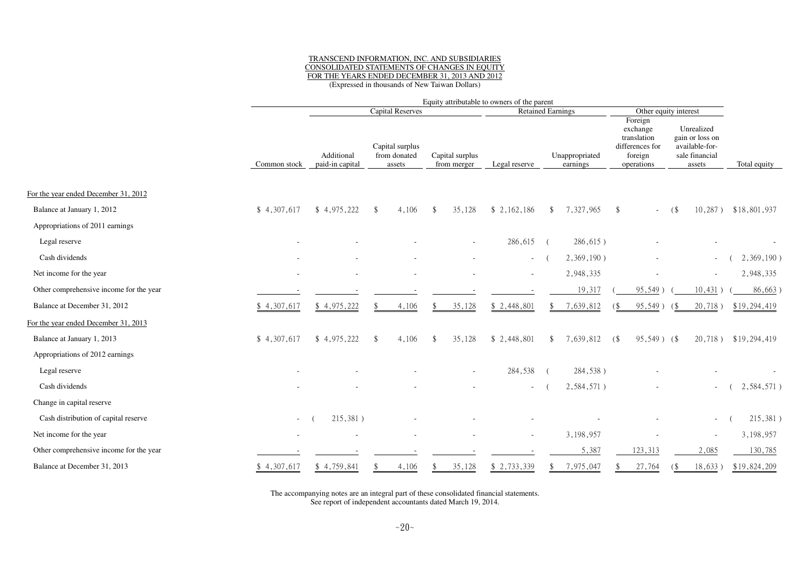#### TRANSCEND INFORMATION, INC. AND SUBSIDIARIES CONSOLIDATED STATEMENTS OF CHANGES IN EQUITY FOR THE YEARS ENDED DECEMBER 31, 2013 AND 2012(Expressed in thousands of New Taiwan Dollars)

|                                         |                | Equity attributable to owners of the parent |                                           |                                |               |                            |                                                                                |                                                                             |              |  |
|-----------------------------------------|----------------|---------------------------------------------|-------------------------------------------|--------------------------------|---------------|----------------------------|--------------------------------------------------------------------------------|-----------------------------------------------------------------------------|--------------|--|
|                                         |                |                                             | <b>Capital Reserves</b>                   |                                |               | <b>Retained Earnings</b>   |                                                                                | Other equity interest                                                       |              |  |
|                                         | Common stock   | Additional<br>paid-in capital               | Capital surplus<br>from donated<br>assets | Capital surplus<br>from merger | Legal reserve | Unappropriated<br>earnings | Foreign<br>exchange<br>translation<br>differences for<br>foreign<br>operations | Unrealized<br>gain or loss on<br>available-for-<br>sale financial<br>assets | Total equity |  |
|                                         |                |                                             |                                           |                                |               |                            |                                                                                |                                                                             |              |  |
| For the year ended December 31, 2012    |                |                                             |                                           |                                |               |                            |                                                                                |                                                                             |              |  |
| Balance at January 1, 2012              | \$4,307,617    | \$4,975,222                                 | 4,106<br>\$                               | $\mathbf{\hat{s}}$<br>35,128   | \$2,162,186   | 7,327,965<br><sup>\$</sup> | \$                                                                             | $10,287$ )<br>(                                                             | \$18,801,937 |  |
| Appropriations of 2011 earnings         |                |                                             |                                           |                                |               |                            |                                                                                |                                                                             |              |  |
| Legal reserve                           |                |                                             |                                           |                                | 286,615       | 286,615)<br>$\sqrt{ }$     |                                                                                |                                                                             |              |  |
| Cash dividends                          |                |                                             |                                           |                                | $\sim$        | 2,369,190)                 |                                                                                | $\sim$                                                                      | 2,369,190)   |  |
| Net income for the year                 |                |                                             |                                           |                                |               | 2,948,335                  |                                                                                | $\sim$                                                                      | 2,948,335    |  |
| Other comprehensive income for the year |                |                                             |                                           |                                |               | 19,317                     | 95,549)                                                                        | 10,431)                                                                     | 86,663       |  |
| Balance at December 31, 2012            | \$4,307,617    | \$4,975,222                                 | 4,106                                     | 35,128                         | \$2,448,801   | 7,639,812                  | 95,549)                                                                        | 20,718)<br>- 65                                                             | \$19,294,419 |  |
| For the year ended December 31, 2013    |                |                                             |                                           |                                |               |                            |                                                                                |                                                                             |              |  |
| Balance at January 1, 2013              | \$4,307,617    | \$4,975,222                                 | 4,106<br>\$                               | $\mathbf{\$}$<br>35,128        | \$2,448,801   | 7,639,812<br>\$            | $95,549$ ) (\$<br>(                                                            | $20,718$ )                                                                  | \$19,294,419 |  |
| Appropriations of 2012 earnings         |                |                                             |                                           |                                |               |                            |                                                                                |                                                                             |              |  |
| Legal reserve                           |                |                                             |                                           |                                | 284,538       | 284,538)                   |                                                                                |                                                                             |              |  |
| Cash dividends                          |                |                                             |                                           |                                |               | 2,584,571)                 |                                                                                |                                                                             | 2,584,571)   |  |
| Change in capital reserve               |                |                                             |                                           |                                |               |                            |                                                                                |                                                                             |              |  |
| Cash distribution of capital reserve    | $\blacksquare$ | 215,381)                                    |                                           |                                |               |                            |                                                                                |                                                                             | 215,381)     |  |
| Net income for the year                 |                |                                             |                                           |                                |               | 3,198,957                  |                                                                                |                                                                             | 3,198,957    |  |
| Other comprehensive income for the year |                |                                             |                                           |                                |               | 5,387                      | 123,313                                                                        | 2,085                                                                       | 130,785      |  |
| Balance at December 31, 2013            | \$4,307,617    | \$4,759,841                                 | 4,106                                     | 35,128                         | \$ 2,733,339  | 7,975,047                  | 27,764                                                                         | 18,633)                                                                     | \$19,824,209 |  |
|                                         |                |                                             |                                           |                                |               |                            |                                                                                |                                                                             |              |  |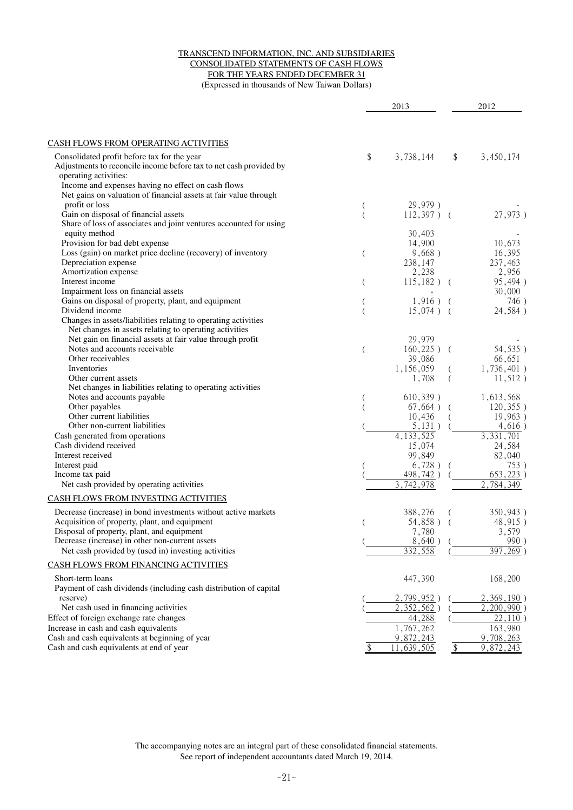#### TRANSCEND INFORMATION, INC. AND SUBSIDIARIES CONSOLIDATED STATEMENTS OF CASH FLOWS FOR THE YEARS ENDED DECEMBER 31 (Expressed in thousands of New Taiwan Dollars)

|                                                                                                                                                                                                                                                                         |                | 2013                                                    |              | 2012                                           |
|-------------------------------------------------------------------------------------------------------------------------------------------------------------------------------------------------------------------------------------------------------------------------|----------------|---------------------------------------------------------|--------------|------------------------------------------------|
|                                                                                                                                                                                                                                                                         |                |                                                         |              |                                                |
| <b>CASH FLOWS FROM OPERATING ACTIVITIES</b>                                                                                                                                                                                                                             |                |                                                         |              |                                                |
| Consolidated profit before tax for the year<br>Adjustments to reconcile income before tax to net cash provided by<br>operating activities:<br>Income and expenses having no effect on cash flows<br>Net gains on valuation of financial assets at fair value through    | \$             | 3,738,144                                               | \$           | 3,450,174                                      |
| profit or loss<br>Gain on disposal of financial assets                                                                                                                                                                                                                  |                | 29,979)<br>$112,397$ ) (                                |              | 27,973)                                        |
| Share of loss of associates and joint ventures accounted for using<br>equity method<br>Provision for bad debt expense                                                                                                                                                   |                | 30,403<br>14,900                                        |              | 10,673                                         |
| Loss (gain) on market price decline (recovery) of inventory<br>Depreciation expense                                                                                                                                                                                     | $\overline{(}$ | 9,668)<br>238,147                                       |              | 16,395<br>237,463                              |
| Amortization expense<br>Interest income<br>Impairment loss on financial assets                                                                                                                                                                                          | $\overline{(}$ | 2,238<br>$115,182$ ) (                                  |              | 2,956<br>95,494)<br>30,000                     |
| Gains on disposal of property, plant, and equipment<br>Dividend income<br>Changes in assets/liabilities relating to operating activities                                                                                                                                |                | $1,916$ ) (<br>$15,074$ ) (                             |              | 746)<br>24,584)                                |
| Net changes in assets relating to operating activities<br>Net gain on financial assets at fair value through profit<br>Notes and accounts receivable<br>Other receivables<br>Inventories<br>Other current assets                                                        | (              | 29,979<br>$160,225$ ) (<br>39,086<br>1,156,059<br>1,708 |              | 54,535)<br>66,651<br>1,736,401)<br>$11,512$ )  |
| Net changes in liabilities relating to operating activities<br>Notes and accounts payable<br>Other payables<br>Other current liabilities<br>Other non-current liabilities                                                                                               |                | 610,339)<br>$67,664$ ) (<br>10,436                      |              | 1,613,568<br>120,355)<br>19,963)               |
| Cash generated from operations<br>Cash dividend received<br>Interest received                                                                                                                                                                                           |                | 5,131)<br>4, 133, 525<br>15,074<br>99,849               |              | 4,616)<br>3, 331, 701<br>24,584<br>82,040      |
| Interest paid<br>Income tax paid<br>Net cash provided by operating activities                                                                                                                                                                                           |                | 6,728)<br>498,742)<br>$\overline{3}$ , 742, 978         |              | 753)<br>$653,223$ )<br>2,784,349               |
| CASH FLOWS FROM INVESTING ACTIVITIES                                                                                                                                                                                                                                    |                |                                                         |              |                                                |
| Decrease (increase) in bond investments without active markets<br>Acquisition of property, plant, and equipment<br>Disposal of property, plant, and equipment<br>Decrease (increase) in other non-current assets<br>Net cash provided by (used in) investing activities |                | 388,276<br>54,858) (<br>7,780<br>8,640)<br>332,558      |              | 350,943)<br>48,915)<br>3,579<br>990<br>397,269 |
| CASH FLOWS FROM FINANCING ACTIVITIES                                                                                                                                                                                                                                    |                |                                                         |              |                                                |
| Short-term loans<br>Payment of cash dividends (including cash distribution of capital                                                                                                                                                                                   |                | 447,390                                                 |              | 168,200                                        |
| reserve)<br>Net cash used in financing activities<br>Effect of foreign exchange rate changes                                                                                                                                                                            |                | 2,799,952<br>$\overline{2,352,562}$ )<br>44,288         |              | 2,369,190)<br>2,200,990<br>22,110              |
| Increase in cash and cash equivalents<br>Cash and cash equivalents at beginning of year                                                                                                                                                                                 |                | 1,767,262<br>9,872,243                                  |              | 163,980<br>9,708,263                           |
| Cash and cash equivalents at end of year                                                                                                                                                                                                                                | \$             | 11,639,505                                              | $\sqrt[6]{}$ | $\overline{9}$ , 872, 243                      |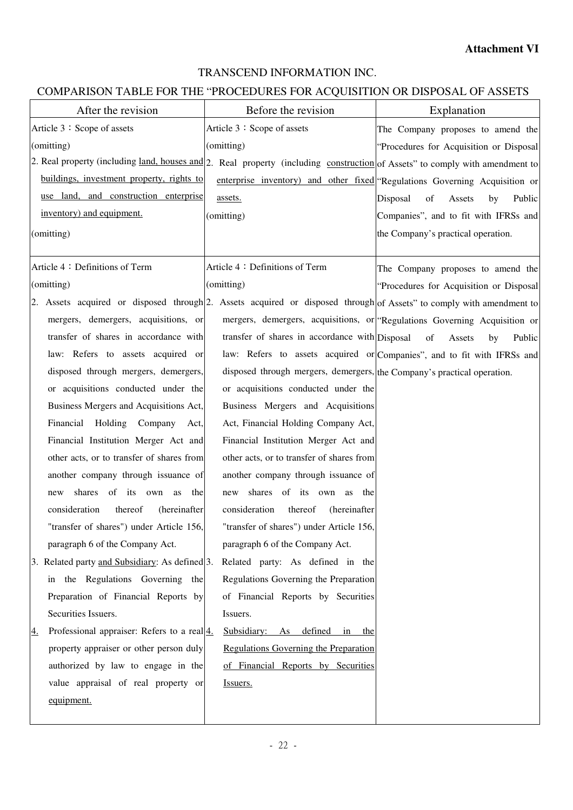## TRANSCEND INFORMATION INC.

## COMPARISON TABLE FOR THE "PROCEDURES FOR ACQUISITION OR DISPOSAL OF ASSETS

| After the revision                                                                                                           | Before the revision                                                     | Explanation                                                                 |
|------------------------------------------------------------------------------------------------------------------------------|-------------------------------------------------------------------------|-----------------------------------------------------------------------------|
| Article 3: Scope of assets                                                                                                   | Article 3: Scope of assets                                              | The Company proposes to amend the                                           |
| (omitting)                                                                                                                   | (omitting)                                                              | "Procedures for Acquisition or Disposal                                     |
| 2. Real property (including land, houses and 2. Real property (including construction of Assets" to comply with amendment to |                                                                         |                                                                             |
| buildings, investment property, rights to                                                                                    |                                                                         | enterprise inventory) and other fixed "Regulations Governing Acquisition or |
| use land, and construction enterprise                                                                                        | assets.                                                                 | Disposal<br>of<br>Assets<br>by<br>Public                                    |
| inventory) and equipment.                                                                                                    | (omitting)                                                              | Companies", and to fit with IFRSs and                                       |
| (omitting)                                                                                                                   |                                                                         | the Company's practical operation.                                          |
|                                                                                                                              |                                                                         |                                                                             |
| Article 4: Definitions of Term                                                                                               | Article 4: Definitions of Term                                          | The Company proposes to amend the                                           |
| (omitting)                                                                                                                   | (omitting)                                                              | "Procedures for Acquisition or Disposal                                     |
| 2. Assets acquired or disposed through 2. Assets acquired or disposed through of Assets" to comply with amendment to         |                                                                         |                                                                             |
| mergers, demergers, acquisitions, or                                                                                         |                                                                         | mergers, demergers, acquisitions, or "Regulations Governing Acquisition or  |
| transfer of shares in accordance with                                                                                        | transfer of shares in accordance with Disposal                          | of<br>Assets<br>Public<br>by                                                |
| law: Refers to assets acquired or                                                                                            |                                                                         | law: Refers to assets acquired or Companies", and to fit with IFRSs and     |
| disposed through mergers, demergers,                                                                                         | disposed through mergers, demergers, the Company's practical operation. |                                                                             |
| or acquisitions conducted under the                                                                                          | or acquisitions conducted under the                                     |                                                                             |
| Business Mergers and Acquisitions Act,                                                                                       | Business Mergers and Acquisitions                                       |                                                                             |
| Financial Holding Company Act,                                                                                               | Act, Financial Holding Company Act,                                     |                                                                             |
| Financial Institution Merger Act and                                                                                         | Financial Institution Merger Act and                                    |                                                                             |
| other acts, or to transfer of shares from                                                                                    | other acts, or to transfer of shares from                               |                                                                             |
| another company through issuance of                                                                                          | another company through issuance of                                     |                                                                             |
| shares of its own<br>the<br>as<br>new                                                                                        | shares of its own as the<br>new                                         |                                                                             |
| consideration<br>thereof<br>(hereinafter                                                                                     | consideration<br>thereof<br>(hereinafter                                |                                                                             |
| "transfer of shares") under Article 156,                                                                                     | "transfer of shares") under Article 156,                                |                                                                             |
| paragraph 6 of the Company Act.                                                                                              | paragraph 6 of the Company Act.                                         |                                                                             |
| 3. Related party and Subsidiary: As defined 3.                                                                               | Related party: As defined in the                                        |                                                                             |
| in the Regulations Governing the                                                                                             | Regulations Governing the Preparation                                   |                                                                             |
| Preparation of Financial Reports by                                                                                          | of Financial Reports by Securities                                      |                                                                             |
| Securities Issuers.                                                                                                          | Issuers.                                                                |                                                                             |
| Professional appraiser: Refers to a real $\frac{4}{1}$ .<br>4.                                                               | Subsidiary: As defined in the                                           |                                                                             |
| property appraiser or other person duly                                                                                      | Regulations Governing the Preparation                                   |                                                                             |
| authorized by law to engage in the                                                                                           | of Financial Reports by Securities                                      |                                                                             |
| value appraisal of real property or                                                                                          | Issuers.                                                                |                                                                             |
| equipment.                                                                                                                   |                                                                         |                                                                             |
|                                                                                                                              |                                                                         |                                                                             |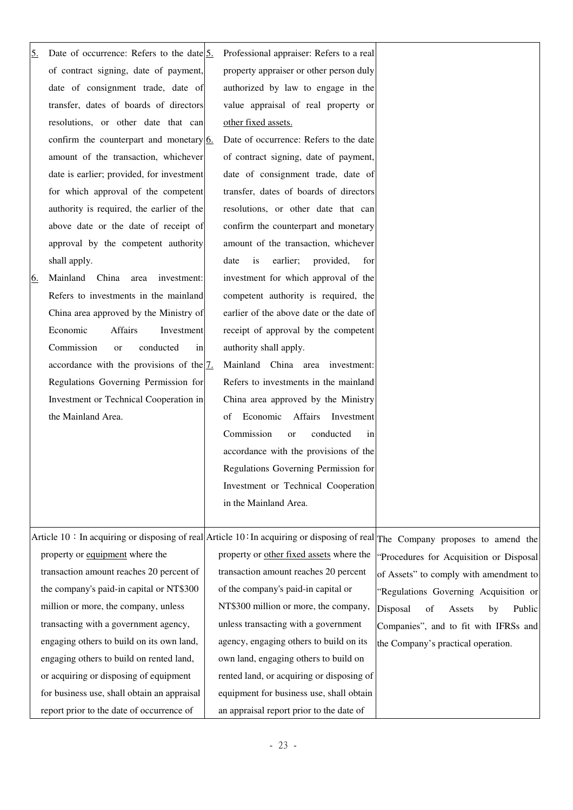| 5.        | Date of occurrence: Refers to the date $5$ .          | Professional appraiser: Refers to a real   |                                                                                                                                 |
|-----------|-------------------------------------------------------|--------------------------------------------|---------------------------------------------------------------------------------------------------------------------------------|
|           | of contract signing, date of payment,                 | property appraiser or other person duly    |                                                                                                                                 |
|           | date of consignment trade, date of                    | authorized by law to engage in the         |                                                                                                                                 |
|           | transfer, dates of boards of directors                | value appraisal of real property or        |                                                                                                                                 |
|           | resolutions, or other date that can                   | other fixed assets.                        |                                                                                                                                 |
|           | confirm the counterpart and monetary $6$ .            | Date of occurrence: Refers to the date     |                                                                                                                                 |
|           | amount of the transaction, whichever                  | of contract signing, date of payment,      |                                                                                                                                 |
|           | date is earlier; provided, for investment             | date of consignment trade, date of         |                                                                                                                                 |
|           | for which approval of the competent                   | transfer, dates of boards of directors     |                                                                                                                                 |
|           | authority is required, the earlier of the             | resolutions, or other date that can        |                                                                                                                                 |
|           | above date or the date of receipt of                  | confirm the counterpart and monetary       |                                                                                                                                 |
|           | approval by the competent authority                   | amount of the transaction, whichever       |                                                                                                                                 |
|           | shall apply.                                          | earlier;<br>provided,<br>date<br>is<br>for |                                                                                                                                 |
| <u>6.</u> | Mainland China<br>area<br>investment:                 | investment for which approval of the       |                                                                                                                                 |
|           | Refers to investments in the mainland                 | competent authority is required, the       |                                                                                                                                 |
|           | China area approved by the Ministry of                | earlier of the above date or the date of   |                                                                                                                                 |
|           | Economic<br><b>Affairs</b><br>Investment              | receipt of approval by the competent       |                                                                                                                                 |
|           | Commission<br>conducted<br>in<br><sub>or</sub>        | authority shall apply.                     |                                                                                                                                 |
|           | accordance with the provisions of the $\frac{7}{2}$ . | Mainland China area investment:            |                                                                                                                                 |
|           | Regulations Governing Permission for                  | Refers to investments in the mainland      |                                                                                                                                 |
|           | Investment or Technical Cooperation in                | China area approved by the Ministry        |                                                                                                                                 |
|           | the Mainland Area.                                    | Economic<br>Affairs<br>Investment<br>of    |                                                                                                                                 |
|           |                                                       | Commission<br>conducted<br>or<br>in        |                                                                                                                                 |
|           |                                                       | accordance with the provisions of the      |                                                                                                                                 |
|           |                                                       | Regulations Governing Permission for       |                                                                                                                                 |
|           |                                                       | Investment or Technical Cooperation        |                                                                                                                                 |
|           |                                                       | in the Mainland Area.                      |                                                                                                                                 |
|           |                                                       |                                            |                                                                                                                                 |
|           |                                                       |                                            | Article 10 : In acquiring or disposing of real Article 10 : In acquiring or disposing of real The Company proposes to amend the |
|           | property or equipment where the                       | property or other fixed assets where the   | "Procedures for Acquisition or Disposal                                                                                         |
|           | transaction amount reaches 20 percent of              | transaction amount reaches 20 percent      | of Assets" to comply with amendment to                                                                                          |
|           | the company's paid-in capital or NT\$300              | of the company's paid-in capital or        | "Regulations Governing Acquisition or                                                                                           |
|           | million or more, the company, unless                  | NT\$300 million or more, the company,      | Disposal<br>of<br>Public<br>Assets<br>by                                                                                        |
|           | transacting with a government agency,                 | unless transacting with a government       | Companies", and to fit with IFRSs and                                                                                           |
|           | engaging others to build on its own land,             | agency, engaging others to build on its    | the Company's practical operation.                                                                                              |
|           | engaging others to build on rented land,              | own land, engaging others to build on      |                                                                                                                                 |
|           | or acquiring or disposing of equipment                | rented land, or acquiring or disposing of  |                                                                                                                                 |
|           | for business use, shall obtain an appraisal           | equipment for business use, shall obtain   |                                                                                                                                 |
|           | report prior to the date of occurrence of             | an appraisal report prior to the date of   |                                                                                                                                 |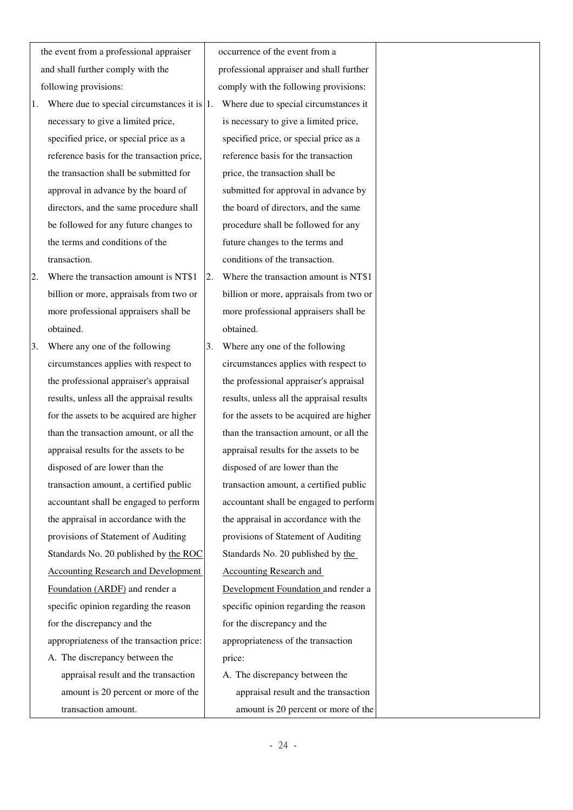the event from a professional appraiser and shall further comply with the following provisions:

- 1. Where due to special circumstances it is 1. Where due to special circumstances it necessary to give a limited price, specified price, or special price as a reference basis for the transaction price, the transaction shall be submitted for approval in advance by the board of directors, and the same procedure shall be followed for any future changes to the terms and conditions of the transaction.
- 2. Where the transaction amount is NT\$1 billion or more, appraisals from two or more professional appraisers shall be obtained.
- 3. Where any one of the following circumstances applies with respect to the professional appraiser's appraisal results, unless all the appraisal results for the assets to be acquired are higher than the transaction amount, or all the appraisal results for the assets to be disposed of are lower than the transaction amount, a certified public accountant shall be engaged to perform the appraisal in accordance with the provisions of Statement of Auditing Standards No. 20 published by the ROC Accounting Research and Development Foundation (ARDF) and render a specific opinion regarding the reason for the discrepancy and the appropriateness of the transaction price: A. The discrepancy between the appraisal result and the transaction amount is 20 percent or more of the

transaction amount.

occurrence of the event from a professional appraiser and shall further comply with the following provisions: is necessary to give a limited price, specified price, or special price as a reference basis for the transaction price, the transaction shall be submitted for approval in advance by the board of directors, and the same procedure shall be followed for any future changes to the terms and conditions of the transaction.

- 2. Where the transaction amount is NT\$1 billion or more, appraisals from two or more professional appraisers shall be obtained.
- 3. Where any one of the following circumstances applies with respect to the professional appraiser's appraisal results, unless all the appraisal results for the assets to be acquired are higher than the transaction amount, or all the appraisal results for the assets to be disposed of are lower than the transaction amount, a certified public accountant shall be engaged to perform the appraisal in accordance with the provisions of Statement of Auditing Standards No. 20 published by the Accounting Research and Development Foundation and render a specific opinion regarding the reason for the discrepancy and the appropriateness of the transaction price: A. The discrepancy between the appraisal result and the transaction

amount is 20 percent or more of the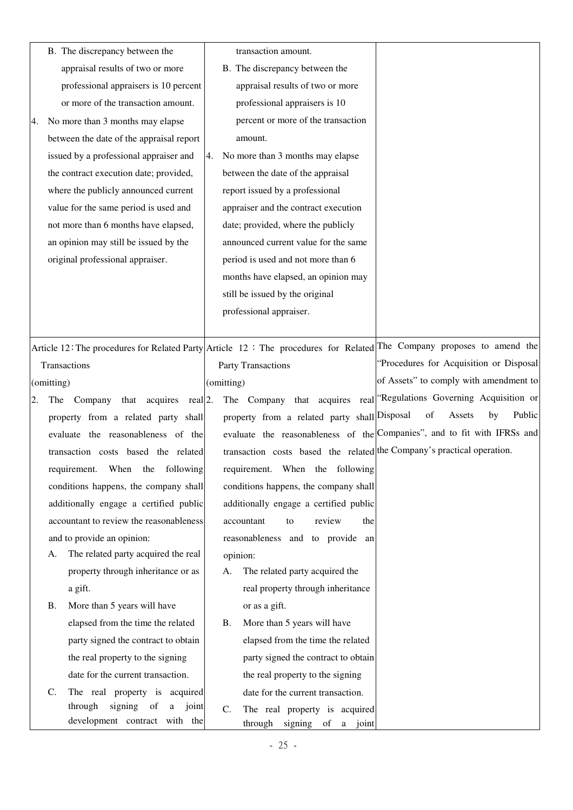|    |                 | B. The discrepancy between the           |                    | transaction amount.                                                    |                                                                                                                              |
|----|-----------------|------------------------------------------|--------------------|------------------------------------------------------------------------|------------------------------------------------------------------------------------------------------------------------------|
|    |                 | appraisal results of two or more         |                    | B. The discrepancy between the                                         |                                                                                                                              |
|    |                 | professional appraisers is 10 percent    |                    | appraisal results of two or more                                       |                                                                                                                              |
|    |                 | or more of the transaction amount.       |                    | professional appraisers is 10                                          |                                                                                                                              |
| 4. |                 | No more than 3 months may elapse         |                    | percent or more of the transaction                                     |                                                                                                                              |
|    |                 | between the date of the appraisal report |                    | amount.                                                                |                                                                                                                              |
|    |                 | issued by a professional appraiser and   | 4.                 | No more than 3 months may elapse                                       |                                                                                                                              |
|    |                 | the contract execution date; provided,   |                    | between the date of the appraisal                                      |                                                                                                                              |
|    |                 | where the publicly announced current     |                    | report issued by a professional                                        |                                                                                                                              |
|    |                 | value for the same period is used and    |                    | appraiser and the contract execution                                   |                                                                                                                              |
|    |                 | not more than 6 months have elapsed,     |                    | date; provided, where the publicly                                     |                                                                                                                              |
|    |                 | an opinion may still be issued by the    |                    | announced current value for the same                                   |                                                                                                                              |
|    |                 | original professional appraiser.         |                    | period is used and not more than 6                                     |                                                                                                                              |
|    |                 |                                          |                    | months have elapsed, an opinion may                                    |                                                                                                                              |
|    |                 |                                          |                    | still be issued by the original                                        |                                                                                                                              |
|    |                 |                                          |                    | professional appraiser.                                                |                                                                                                                              |
|    |                 |                                          |                    |                                                                        |                                                                                                                              |
|    |                 |                                          |                    |                                                                        | Article 12: The procedures for Related Party Article 12: The procedures for Related The Company proposes to amend the        |
|    |                 | Transactions                             | Party Transactions |                                                                        | "Procedures for Acquisition or Disposal                                                                                      |
|    | (omitting)      |                                          | (omitting)         |                                                                        | of Assets" to comply with amendment to                                                                                       |
| 2. | The             | that acquires real 2.<br>Company         |                    | The Company that acquires                                              | real "Regulations Governing Acquisition or                                                                                   |
|    |                 | property from a related party shall      |                    | property from a related party shall Disposal                           | $% \left( \left( \mathcal{A},\mathcal{A}\right) \right) =\left( \mathcal{A},\mathcal{A}\right)$ of<br>by<br>Public<br>Assets |
|    |                 | evaluate the reasonableness of the       |                    |                                                                        | evaluate the reasonableness of the Companies", and to fit with IFRSs and                                                     |
|    |                 | transaction costs based the related      |                    | transaction costs based the related the Company's practical operation. |                                                                                                                              |
|    |                 | requirement. When the following          |                    | requirement. When the following                                        |                                                                                                                              |
|    |                 | conditions happens, the company shall    |                    | conditions happens, the company shall                                  |                                                                                                                              |
|    |                 | additionally engage a certified public   |                    | additionally engage a certified public                                 |                                                                                                                              |
|    |                 | accountant to review the reasonableness  |                    | review<br>accountant<br>the<br>to                                      |                                                                                                                              |
|    |                 | and to provide an opinion:               |                    | reasonableness and to provide an                                       |                                                                                                                              |
|    | А.              | The related party acquired the real      |                    | opinion:                                                               |                                                                                                                              |
|    |                 | property through inheritance or as       | A.                 | The related party acquired the                                         |                                                                                                                              |
|    |                 | a gift.                                  |                    | real property through inheritance                                      |                                                                                                                              |
|    | <b>B.</b>       | More than 5 years will have              |                    | or as a gift.                                                          |                                                                                                                              |
|    |                 | elapsed from the time the related        | Β.                 | More than 5 years will have                                            |                                                                                                                              |
|    |                 | party signed the contract to obtain      |                    | elapsed from the time the related                                      |                                                                                                                              |
|    |                 | the real property to the signing         |                    | party signed the contract to obtain                                    |                                                                                                                              |
|    |                 | date for the current transaction.        |                    | the real property to the signing                                       |                                                                                                                              |
|    | $\mathcal{C}$ . | The real property is acquired            |                    | date for the current transaction.                                      |                                                                                                                              |
|    |                 | through<br>signing of<br>a joint         | C.                 | The real property is acquired                                          |                                                                                                                              |
|    |                 | development contract with the            |                    | through signing of a joint                                             |                                                                                                                              |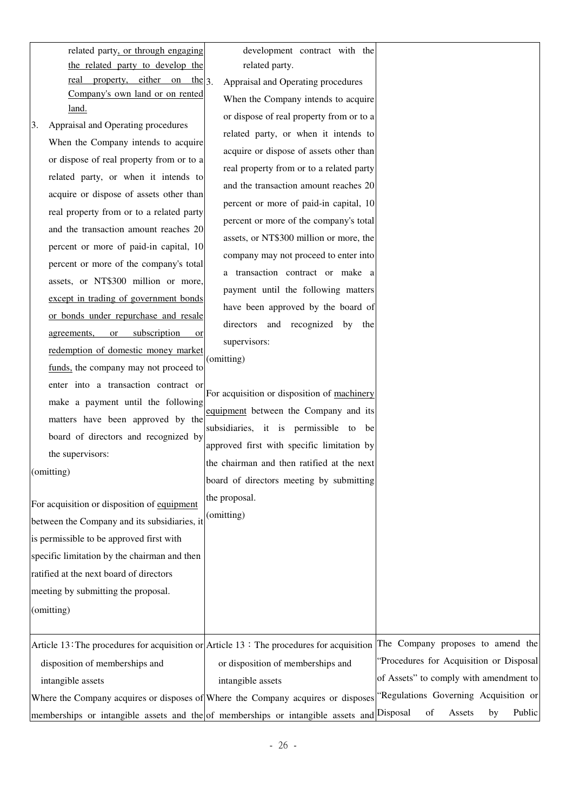| related party, or through engaging  |  | development contract with the            |  |  |
|-------------------------------------|--|------------------------------------------|--|--|
| the related party to develop the    |  | related party.                           |  |  |
| property, either on the $3$<br>real |  | Appraisal and Operating procedures       |  |  |
| Company's own land or on rented     |  | When the Company intends to acquire      |  |  |
| land.                               |  | or dispose of real property from or to a |  |  |
|                                     |  |                                          |  |  |

|                                                                                                                        | or dispose of real property from or to a    |                                         |
|------------------------------------------------------------------------------------------------------------------------|---------------------------------------------|-----------------------------------------|
| Appraisal and Operating procedures<br>3.                                                                               | related party, or when it intends to        |                                         |
| When the Company intends to acquire                                                                                    | acquire or dispose of assets other than     |                                         |
| or dispose of real property from or to a                                                                               | real property from or to a related party    |                                         |
| related party, or when it intends to                                                                                   | and the transaction amount reaches 20       |                                         |
| acquire or dispose of assets other than                                                                                | percent or more of paid-in capital, 10      |                                         |
| real property from or to a related party                                                                               | percent or more of the company's total      |                                         |
| and the transaction amount reaches 20                                                                                  | assets, or NT\$300 million or more, the     |                                         |
| percent or more of paid-in capital, 10                                                                                 | company may not proceed to enter into       |                                         |
| percent or more of the company's total                                                                                 |                                             |                                         |
| assets, or NT\$300 million or more,                                                                                    | a transaction contract or make a            |                                         |
| except in trading of government bonds                                                                                  | payment until the following matters         |                                         |
| or bonds under repurchase and resale                                                                                   | have been approved by the board of          |                                         |
| subscription<br>agreements,<br><b>or</b><br>or                                                                         | directors and recognized by the             |                                         |
| redemption of domestic money market                                                                                    | supervisors:                                |                                         |
| funds, the company may not proceed to                                                                                  | (omitting)                                  |                                         |
| enter into a transaction contract or                                                                                   |                                             |                                         |
| make a payment until the following                                                                                     | For acquisition or disposition of machinery |                                         |
| matters have been approved by the                                                                                      | equipment between the Company and its       |                                         |
| board of directors and recognized by                                                                                   | subsidiaries, it is permissible to be       |                                         |
| the supervisors:                                                                                                       | approved first with specific limitation by  |                                         |
| (omitting)                                                                                                             | the chairman and then ratified at the next  |                                         |
|                                                                                                                        | board of directors meeting by submitting    |                                         |
| For acquisition or disposition of equipment                                                                            | the proposal.                               |                                         |
| between the Company and its subsidiaries, it                                                                           | (omitting)                                  |                                         |
| is permissible to be approved first with                                                                               |                                             |                                         |
| specific limitation by the chairman and then                                                                           |                                             |                                         |
| ratified at the next board of directors                                                                                |                                             |                                         |
| meeting by submitting the proposal.                                                                                    |                                             |                                         |
| (omitting)                                                                                                             |                                             |                                         |
|                                                                                                                        |                                             |                                         |
| Article 13: The procedures for acquisition or Article 13: The procedures for acquisition                               |                                             | The Company proposes to amend the       |
| disposition of memberships and                                                                                         | or disposition of memberships and           | "Procedures for Acquisition or Disposal |
| intangible assets                                                                                                      | intangible assets                           | of Assets" to comply with amendment to  |
| Where the Company acquires or disposes of Where the Company acquires or disposes "Regulations Governing Acquisition or |                                             |                                         |
| memberships or intangible assets and the of memberships or intangible assets and Disposal                              |                                             | of<br>Public<br>Assets<br>by            |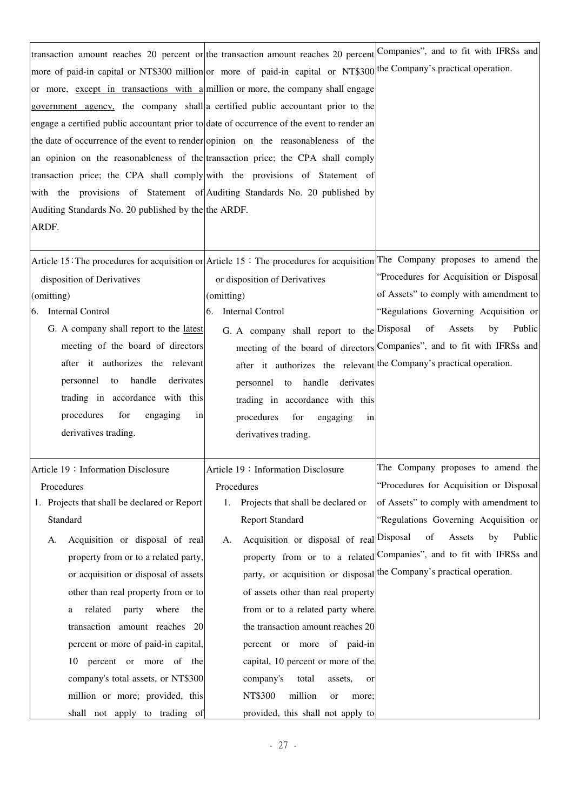| transaction amount reaches 20 percent or the transaction amount reaches 20 percent Companies", and to fit with IFRSs and<br>more of paid-in capital or NT\$300 million or more of paid-in capital or NT\$300 the Company's practical operation.<br>or more, except in transactions with a million or more, the company shall engage<br>government agency, the company shall a certified public accountant prior to the<br>engage a certified public accountant prior to date of occurrence of the event to render an<br>the date of occurrence of the event to render opinion on the reasonableness of the<br>an opinion on the reasonableness of the transaction price; the CPA shall comply<br>transaction price; the CPA shall comply with the provisions of Statement of<br>with the provisions of Statement of Auditing Standards No. 20 published by<br>Auditing Standards No. 20 published by the the ARDF.<br>ARDF. |                                                                                                                                                                                                                                                                                                                                                                                                                                                                              |                                                                                                                                                                                                                                                                                                                                                |
|-----------------------------------------------------------------------------------------------------------------------------------------------------------------------------------------------------------------------------------------------------------------------------------------------------------------------------------------------------------------------------------------------------------------------------------------------------------------------------------------------------------------------------------------------------------------------------------------------------------------------------------------------------------------------------------------------------------------------------------------------------------------------------------------------------------------------------------------------------------------------------------------------------------------------------|------------------------------------------------------------------------------------------------------------------------------------------------------------------------------------------------------------------------------------------------------------------------------------------------------------------------------------------------------------------------------------------------------------------------------------------------------------------------------|------------------------------------------------------------------------------------------------------------------------------------------------------------------------------------------------------------------------------------------------------------------------------------------------------------------------------------------------|
| Article 15: The procedures for acquisition or Article 15: The procedures for acquisition The Company proposes to amend the<br>disposition of Derivatives<br>(omitting)<br>6. Internal Control<br>G. A company shall report to the latest<br>meeting of the board of directors<br>after it authorizes the relevant<br>personnel to handle<br>derivates<br>trading in accordance with this<br>procedures<br>for<br>engaging<br>in<br>derivatives trading.                                                                                                                                                                                                                                                                                                                                                                                                                                                                     | or disposition of Derivatives<br>(omitting)<br>Internal Control<br>6.<br>G. A company shall report to the Disposal of<br>after it authorizes the relevant the Company's practical operation.<br>personnel to handle derivates<br>trading in accordance with this<br>procedures<br>for<br>engaging<br>in<br>derivatives trading.                                                                                                                                              | "Procedures for Acquisition or Disposal<br>of Assets" to comply with amendment to<br>"Regulations Governing Acquisition or<br>Assets<br>by<br>Public<br>meeting of the board of directors Companies", and to fit with IFRSs and                                                                                                                |
| Article 19: Information Disclosure<br>Procedures<br>1. Projects that shall be declared or Report<br>Standard<br>Acquisition or disposal of real<br>A.<br>property from or to a related party,<br>or acquisition or disposal of assets<br>other than real property from or to<br>related<br>where<br>party<br>the<br>a<br>transaction amount reaches 20<br>percent or more of paid-in capital,<br>percent or more of the<br>10<br>company's total assets, or NT\$300<br>million or more; provided, this<br>shall not apply to trading of                                                                                                                                                                                                                                                                                                                                                                                     | Article 19: Information Disclosure<br>Procedures<br>Projects that shall be declared or<br>1.<br><b>Report Standard</b><br>Acquisition or disposal of real Disposal<br>A.<br>of assets other than real property<br>from or to a related party where<br>the transaction amount reaches 20<br>percent or more of paid-in<br>capital, 10 percent or more of the<br>company's<br>total<br>assets,<br>or<br>NT\$300<br>million<br>or<br>more;<br>provided, this shall not apply to | The Company proposes to amend the<br>"Procedures for Acquisition or Disposal<br>of Assets" to comply with amendment to<br>"Regulations Governing Acquisition or<br>of<br>Public<br>Assets<br>by<br>property from or to a related Companies", and to fit with IFRSs and<br>party, or acquisition or disposal the Company's practical operation. |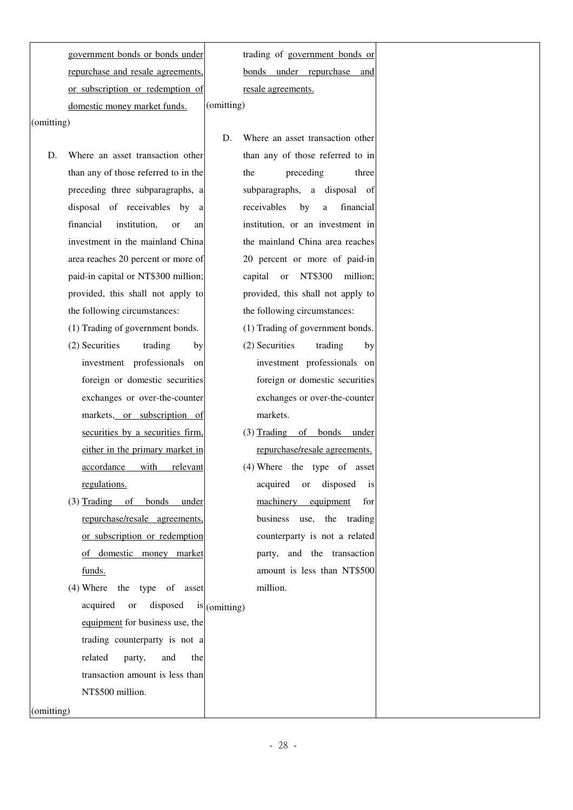government bonds or bonds under repurchase and resale agreements, or subscription or redemption of domestic money market funds. (omitting)

(omitting)

D. Where an asset transaction other than any of those referred to in the preceding three subparagraphs, a disposal of receivables by a financial institution, or an investment in the mainland China area reaches 20 percent or more of paid-in capital or NT\$300 million; provided, this shall not apply to the following circumstances:

(1) Trading of government bonds.

- (2) Securities trading by investment professionals on foreign or domestic securities exchanges or over-the-counter markets, or subscription of securities by a securities firm, either in the primary market in accordance with relevant regulations.
- (3) Trading of bonds under repurchase/resale agreements, or subscription or redemption of domestic money market funds.
- (4) Where the type of asset acquired or disposed is  $(\text{omitting})$ equipment for business use, the trading counterparty is not a related party, and the transaction amount is less than NT\$500 million.

(omitting)

trading of government bonds or bonds under repurchase and resale agreements.

- D. Where an asset transaction other than any of those referred to in the preceding three subparagraphs, a disposal of receivables by a financial institution, or an investment in the mainland China area reaches 20 percent or more of paid-in capital or NT\$300 million; provided, this shall not apply to the following circumstances:
	- (1) Trading of government bonds.
	- (2) Securities trading by investment professionals on foreign or domestic securities exchanges or over-the-counter markets.
	- (3) Trading of bonds under repurchase/resale agreements.
	- (4) Where the type of asset acquired or disposed is machinery equipment for business use, the trading counterparty is not a related party, and the transaction amount is less than NT\$500 million.

- 28 -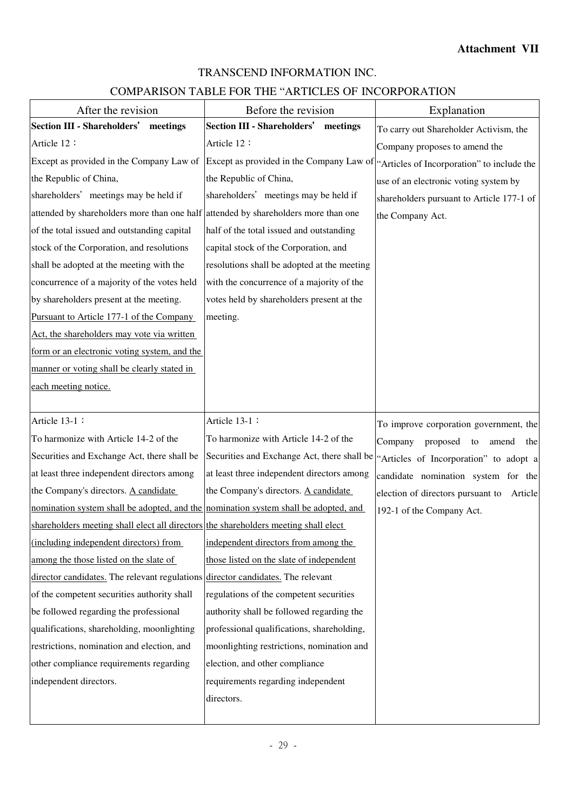# TRANSCEND INFORMATION INC.

# COMPARISON TABLE FOR THE "ARTICLES OF INCORPORATION

| After the revision                                                                  | Before the revision                                                                 | Explanation                               |
|-------------------------------------------------------------------------------------|-------------------------------------------------------------------------------------|-------------------------------------------|
| <b>Section III - Shareholders'</b><br>meetings                                      | <b>Section III - Shareholders'</b><br>meetings                                      | To carry out Shareholder Activism, the    |
| Article 12:                                                                         | Article 12:                                                                         | Company proposes to amend the             |
| Except as provided in the Company Law of                                            | Except as provided in the Company Law of "Articles of Incorporation" to include the |                                           |
| the Republic of China,                                                              | the Republic of China,                                                              | use of an electronic voting system by     |
| shareholders' meetings may be held if                                               | shareholders' meetings may be held if                                               | shareholders pursuant to Article 177-1 of |
| attended by shareholders more than one half attended by shareholders more than one  |                                                                                     | the Company Act.                          |
| of the total issued and outstanding capital                                         | half of the total issued and outstanding                                            |                                           |
| stock of the Corporation, and resolutions                                           | capital stock of the Corporation, and                                               |                                           |
| shall be adopted at the meeting with the                                            | resolutions shall be adopted at the meeting                                         |                                           |
| concurrence of a majority of the votes held                                         | with the concurrence of a majority of the                                           |                                           |
| by shareholders present at the meeting.                                             | votes held by shareholders present at the                                           |                                           |
| Pursuant to Article 177-1 of the Company                                            | meeting.                                                                            |                                           |
| Act, the shareholders may vote via written                                          |                                                                                     |                                           |
| form or an electronic voting system, and the                                        |                                                                                     |                                           |
| manner or voting shall be clearly stated in                                         |                                                                                     |                                           |
| each meeting notice.                                                                |                                                                                     |                                           |
|                                                                                     |                                                                                     |                                           |
| Article 13-1 :                                                                      | Article 13-1:                                                                       | To improve corporation government, the    |
| To harmonize with Article 14-2 of the                                               | To harmonize with Article 14-2 of the                                               | Company<br>proposed to<br>amend<br>the    |
| Securities and Exchange Act, there shall be                                         | Securities and Exchange Act, there shall be                                         | "Articles of Incorporation" to adopt a    |
| at least three independent directors among                                          | at least three independent directors among                                          | candidate nomination system for the       |
| the Company's directors. A candidate                                                | the Company's directors. A candidate                                                | election of directors pursuant to Article |
| nomination system shall be adopted, and the nomination system shall be adopted, and |                                                                                     | 192-1 of the Company Act.                 |
| shareholders meeting shall elect all directors the shareholders meeting shall elect |                                                                                     |                                           |
| (including independent directors) from                                              | independent directors from among the                                                |                                           |
| among the those listed on the slate of                                              | those listed on the slate of independent                                            |                                           |
| director candidates. The relevant regulations director candidates. The relevant     |                                                                                     |                                           |
| of the competent securities authority shall                                         | regulations of the competent securities                                             |                                           |
| be followed regarding the professional                                              | authority shall be followed regarding the                                           |                                           |
| qualifications, shareholding, moonlighting                                          | professional qualifications, shareholding,                                          |                                           |
| restrictions, nomination and election, and                                          | moonlighting restrictions, nomination and                                           |                                           |
| other compliance requirements regarding                                             | election, and other compliance                                                      |                                           |
| independent directors.                                                              | requirements regarding independent                                                  |                                           |
|                                                                                     | directors.                                                                          |                                           |
|                                                                                     |                                                                                     |                                           |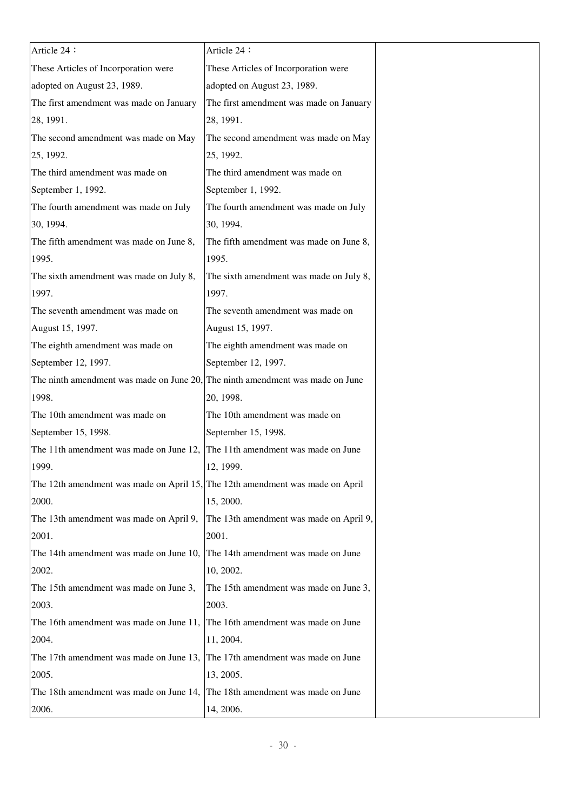| Article 24 :                                                                  | Article 24 :                            |  |
|-------------------------------------------------------------------------------|-----------------------------------------|--|
| These Articles of Incorporation were                                          | These Articles of Incorporation were    |  |
| adopted on August 23, 1989.                                                   | adopted on August 23, 1989.             |  |
| The first amendment was made on January                                       | The first amendment was made on January |  |
| 28, 1991.                                                                     | 28, 1991.                               |  |
| The second amendment was made on May                                          | The second amendment was made on May    |  |
| 25, 1992.                                                                     | 25, 1992.                               |  |
| The third amendment was made on                                               | The third amendment was made on         |  |
| September 1, 1992.                                                            | September 1, 1992.                      |  |
| The fourth amendment was made on July                                         | The fourth amendment was made on July   |  |
| 30, 1994.                                                                     | 30, 1994.                               |  |
| The fifth amendment was made on June 8,                                       | The fifth amendment was made on June 8, |  |
| 1995.                                                                         | 1995.                                   |  |
| The sixth amendment was made on July 8,                                       | The sixth amendment was made on July 8, |  |
| 1997.                                                                         | 1997.                                   |  |
| The seventh amendment was made on                                             | The seventh amendment was made on       |  |
| August 15, 1997.                                                              | August 15, 1997.                        |  |
| The eighth amendment was made on                                              | The eighth amendment was made on        |  |
| September 12, 1997.                                                           | September 12, 1997.                     |  |
| The ninth amendment was made on June 20, The ninth amendment was made on June |                                         |  |
| 1998.                                                                         | 20, 1998.                               |  |
| The 10th amendment was made on                                                | The 10th amendment was made on          |  |
| September 15, 1998.                                                           | September 15, 1998.                     |  |
| The 11th amendment was made on June 12,                                       | The 11th amendment was made on June     |  |
| 1999.                                                                         | 12, 1999.                               |  |
| The 12th amendment was made on April 15, The 12th amendment was made on April |                                         |  |
| 2000.                                                                         | 15, 2000.                               |  |
| The 13th amendment was made on April 9,                                       | The 13th amendment was made on April 9, |  |
| 2001.                                                                         | 2001.                                   |  |
| The 14th amendment was made on June 10,                                       | The 14th amendment was made on June     |  |
| 2002.                                                                         | 10, 2002.                               |  |
| The 15th amendment was made on June 3,                                        | The 15th amendment was made on June 3,  |  |
| 2003.                                                                         | 2003.                                   |  |
| The 16th amendment was made on June 11,                                       | The 16th amendment was made on June     |  |
| 2004.                                                                         | 11, 2004.                               |  |
| The 17th amendment was made on June 13,                                       | The 17th amendment was made on June     |  |
| 2005.                                                                         | 13, 2005.                               |  |
| The 18th amendment was made on June 14,                                       | The 18th amendment was made on June     |  |
| 2006.                                                                         | 14, 2006.                               |  |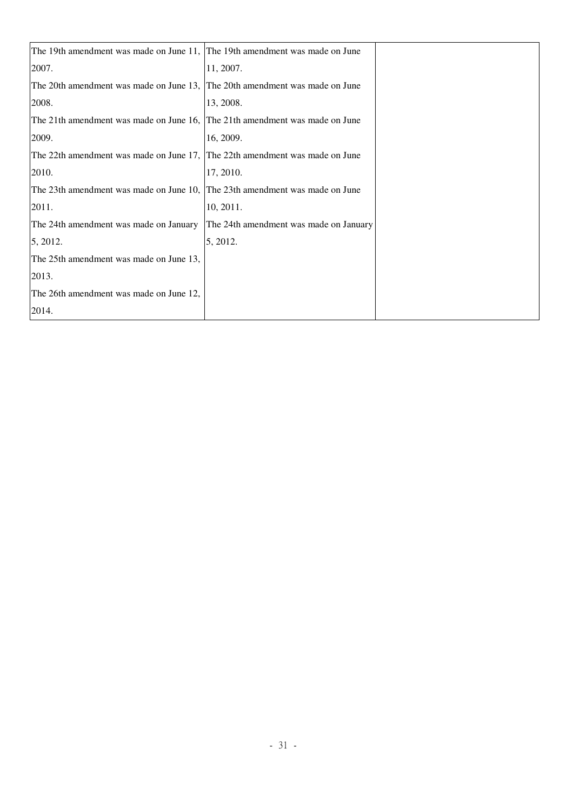| The 19th amendment was made on June 11, The 19th amendment was made on June |                                        |
|-----------------------------------------------------------------------------|----------------------------------------|
| 2007.                                                                       | 11, 2007.                              |
| The 20th amendment was made on June 13, The 20th amendment was made on June |                                        |
| 2008.                                                                       | 13, 2008.                              |
| The 21th amendment was made on June 16,                                     | The 21th amendment was made on June    |
| 2009.                                                                       | 16, 2009.                              |
| The 22th amendment was made on June 17, The 22th amendment was made on June |                                        |
| 2010.                                                                       | 17, 2010.                              |
| The 23th amendment was made on June 10,                                     | The 23th amendment was made on June    |
| 2011.                                                                       | 10, 2011.                              |
| The 24th amendment was made on January                                      | The 24th amendment was made on January |
| 5, 2012.                                                                    | 5, 2012.                               |
| The 25th amendment was made on June 13,                                     |                                        |
| 2013.                                                                       |                                        |
| The 26th amendment was made on June 12,                                     |                                        |
| 2014.                                                                       |                                        |